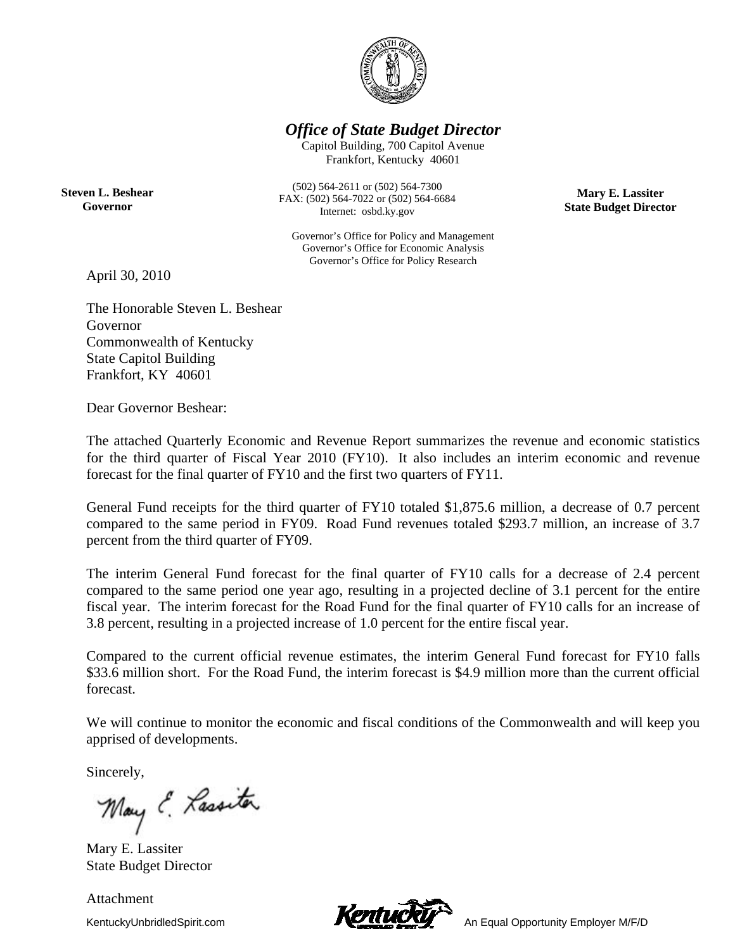

*Office of State Budget Director* 

Capitol Building, 700 Capitol Avenue Frankfort, Kentucky 40601

(502) 564-2611 or (502) 564-7300 **Steven L. Beshear Governor FAX**: (502) 564-7022 or (502) 564-6684 **Governor** Internet: osbd.ky.gov

> Governor's Office for Policy and Management Governor's Office for Economic Analysis Governor's Office for Policy Research

April 30, 2010

The Honorable Steven L. Beshear Governor Commonwealth of Kentucky State Capitol Building Frankfort, KY 40601

Dear Governor Beshear:

The attached Quarterly Economic and Revenue Report summarizes the revenue and economic statistics for the third quarter of Fiscal Year 2010 (FY10). It also includes an interim economic and revenue forecast for the final quarter of FY10 and the first two quarters of FY11.

General Fund receipts for the third quarter of FY10 totaled \$1,875.6 million, a decrease of 0.7 percent compared to the same period in FY09. Road Fund revenues totaled \$293.7 million, an increase of 3.7 percent from the third quarter of FY09.

The interim General Fund forecast for the final quarter of FY10 calls for a decrease of 2.4 percent compared to the same period one year ago, resulting in a projected decline of 3.1 percent for the entire fiscal year. The interim forecast for the Road Fund for the final quarter of FY10 calls for an increase of 3.8 percent, resulting in a projected increase of 1.0 percent for the entire fiscal year.

Compared to the current official revenue estimates, the interim General Fund forecast for FY10 falls \$33.6 million short. For the Road Fund, the interim forecast is \$4.9 million more than the current official forecast.

We will continue to monitor the economic and fiscal conditions of the Commonwealth and will keep you apprised of developments.

Sincerely,

May E. Lassitor

Mary E. Lassiter State Budget Director

Attachment



**Mary E. Lassiter State Budget Director**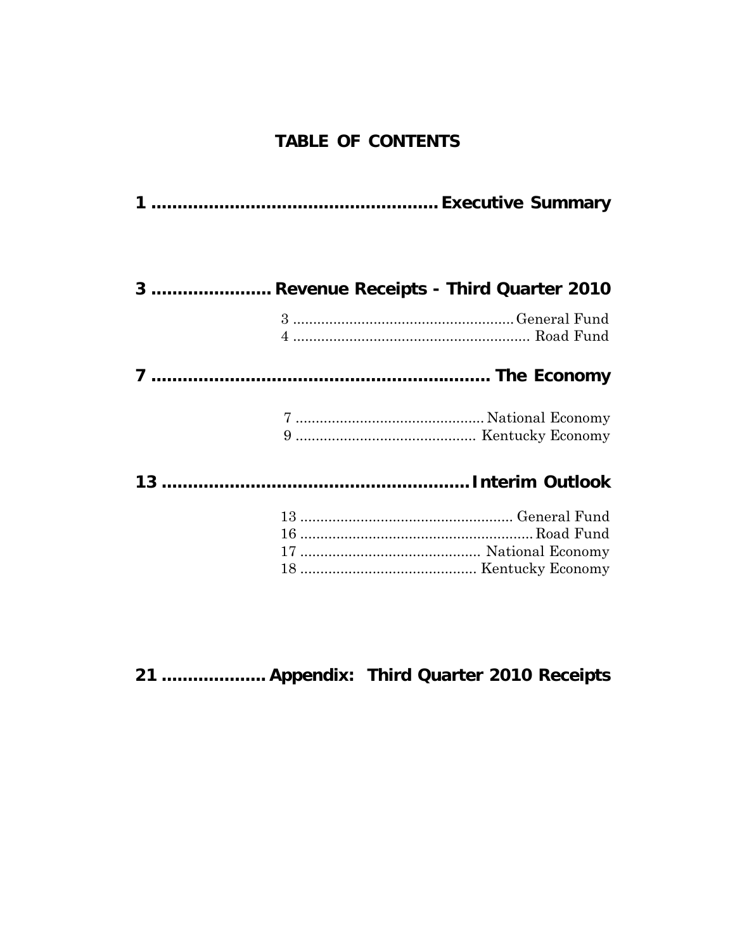# TABLE OF CONTENTS

| 3  Revenue Receipts - Third Quarter 2010 |
|------------------------------------------|
|                                          |
|                                          |
|                                          |
|                                          |
|                                          |

21 .................... Appendix: Third Quarter 2010 Receipts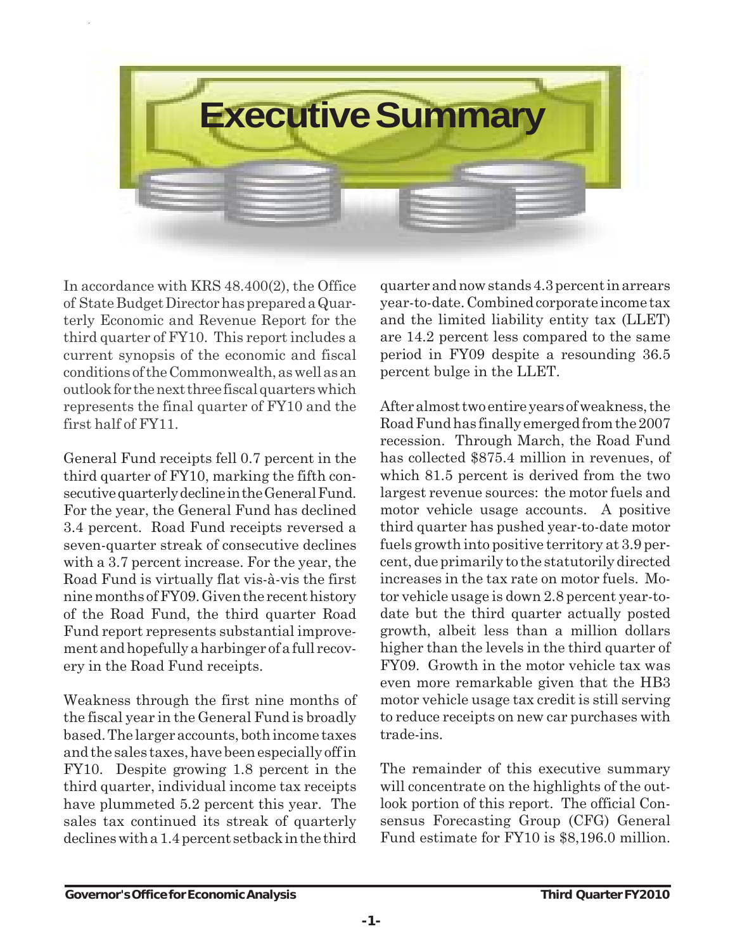

In accordance with KRS 48.400(2), the Office of State Budget Director has prepared a Quarterly Economic and Revenue Report for the third quarter of FY10. This report includes a current synopsis of the economic and fiscal conditions of the Commonwealth, as well as an outlook for the next three fiscal quarters which represents the final quarter of FY10 and the first half of FY11.

General Fund receipts fell 0.7 percent in the third quarter of FY10, marking the fifth consecutive quarterly decline in the General Fund. For the year, the General Fund has declined 3.4 percent. Road Fund receipts reversed a seven-quarter streak of consecutive declines with a 3.7 percent increase. For the year, the Road Fund is virtually flat vis-à-vis the first nine months of FY09. Given the recent history of the Road Fund, the third quarter Road Fund report represents substantial improvement and hopefully a harbinger of a full recovery in the Road Fund receipts.

Weakness through the first nine months of the fiscal year in the General Fund is broadly based. The larger accounts, both income taxes and the sales taxes, have been especially off in FY10. Despite growing 1.8 percent in the third quarter, individual income tax receipts have plummeted 5.2 percent this year. The sales tax continued its streak of quarterly declines with a 1.4 percent setback in the third quarter and now stands 4.3 percent in arrears year-to-date. Combined corporate income tax and the limited liability entity tax (LLET) are 14.2 percent less compared to the same period in FY09 despite a resounding 36.5 percent bulge in the LLET.

After almost two entire years of weakness, the Road Fund has finally emerged from the 2007 recession. Through March, the Road Fund has collected \$875.4 million in revenues, of which 81.5 percent is derived from the two largest revenue sources: the motor fuels and motor vehicle usage accounts. A positive third quarter has pushed year-to-date motor fuels growth into positive territory at 3.9 percent, due primarily to the statutorily directed increases in the tax rate on motor fuels. Motor vehicle usage is down 2.8 percent year-todate but the third quarter actually posted growth, albeit less than a million dollars higher than the levels in the third quarter of FY09. Growth in the motor vehicle tax was even more remarkable given that the HB3 motor vehicle usage tax credit is still serving to reduce receipts on new car purchases with trade-ins.

The remainder of this executive summary will concentrate on the highlights of the outlook portion of this report. The official Consensus Forecasting Group (CFG) General Fund estimate for FY10 is \$8,196.0 million.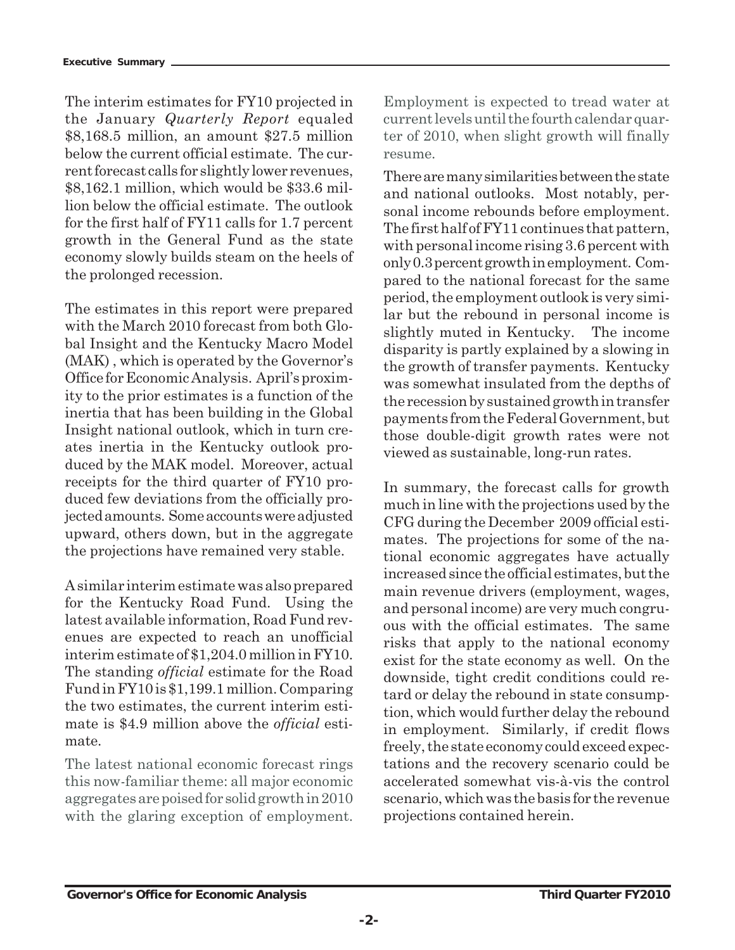The interim estimates for FY10 projected in the January *Quarterly Report* equaled \$8,168.5 million, an amount \$27.5 million below the current official estimate. The current forecast calls for slightly lower revenues, \$8,162.1 million, which would be \$33.6 million below the official estimate. The outlook for the first half of FY11 calls for 1.7 percent growth in the General Fund as the state economy slowly builds steam on the heels of the prolonged recession.

The estimates in this report were prepared with the March 2010 forecast from both Global Insight and the Kentucky Macro Model (MAK) , which is operated by the Governor's Office for Economic Analysis. April's proximity to the prior estimates is a function of the inertia that has been building in the Global Insight national outlook, which in turn creates inertia in the Kentucky outlook produced by the MAK model. Moreover, actual receipts for the third quarter of FY10 produced few deviations from the officially projected amounts. Some accounts were adjusted upward, others down, but in the aggregate the projections have remained very stable.

A similar interim estimate was also prepared for the Kentucky Road Fund. Using the latest available information, Road Fund revenues are expected to reach an unofficial interim estimate of \$1,204.0 million in FY10. The standing *official* estimate for the Road Fund in FY10 is \$1,199.1 million. Comparing the two estimates, the current interim estimate is \$4.9 million above the *official* estimate.

The latest national economic forecast rings this now-familiar theme: all major economic aggregates are poised for solid growth in 2010 with the glaring exception of employment.

Employment is expected to tread water at current levels until the fourth calendar quarter of 2010, when slight growth will finally resume.

There are many similarities between the state and national outlooks. Most notably, personal income rebounds before employment. The first half of FY11 continues that pattern, with personal income rising 3.6 percent with only 0.3 percent growth in employment. Compared to the national forecast for the same period, the employment outlook is very similar but the rebound in personal income is slightly muted in Kentucky. The income disparity is partly explained by a slowing in the growth of transfer payments. Kentucky was somewhat insulated from the depths of the recession by sustained growth in transfer payments from the Federal Government, but those double-digit growth rates were not viewed as sustainable, long-run rates.

In summary, the forecast calls for growth much in line with the projections used by the CFG during the December 2009 official estimates. The projections for some of the national economic aggregates have actually increased since the official estimates, but the main revenue drivers (employment, wages, and personal income) are very much congruous with the official estimates. The same risks that apply to the national economy exist for the state economy as well. On the downside, tight credit conditions could retard or delay the rebound in state consumption, which would further delay the rebound in employment. Similarly, if credit flows freely, the state economy could exceed expectations and the recovery scenario could be accelerated somewhat vis-à-vis the control scenario, which was the basis for the revenue projections contained herein.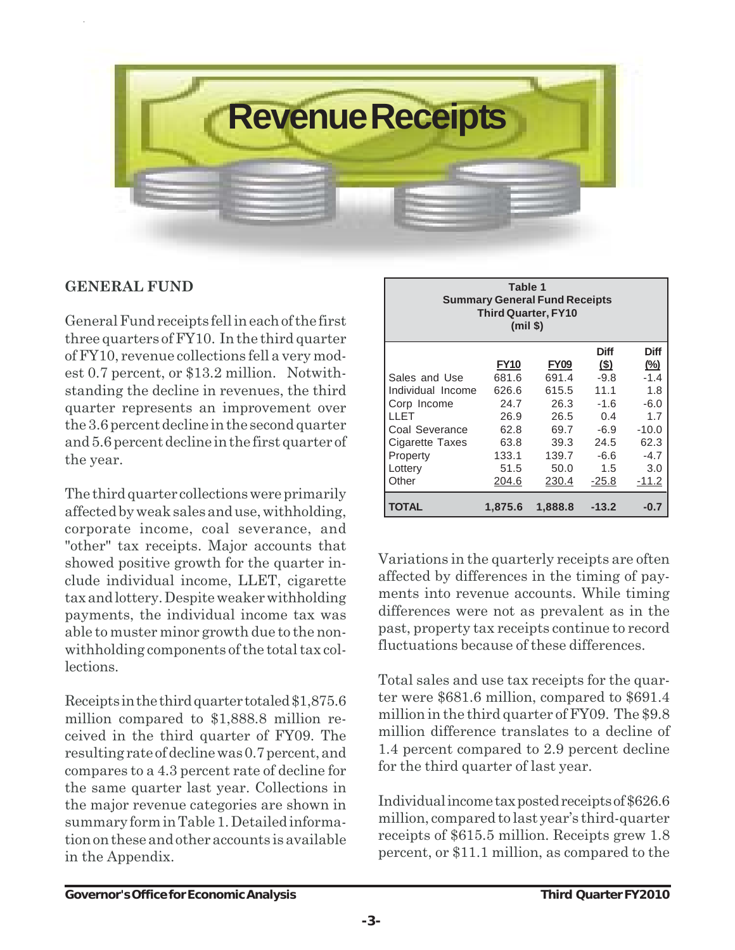

### **GENERAL FUND**

General Fund receipts fell in each of the first three quarters of FY10. In the third quarter of FY10, revenue collections fell a very modest 0.7 percent, or \$13.2 million. Notwithstanding the decline in revenues, the third quarter represents an improvement over the 3.6 percent decline in the second quarter and 5.6 percent decline in the first quarter of the year.

The third quarter collections were primarily affected by weak sales and use, withholding, corporate income, coal severance, and "other" tax receipts. Major accounts that showed positive growth for the quarter include individual income, LLET, cigarette tax and lottery. Despite weaker withholding payments, the individual income tax was able to muster minor growth due to the nonwithholding components of the total tax collections.

Receipts in the third quarter totaled \$1,875.6 million compared to \$1,888.8 million received in the third quarter of FY09. The resulting rate of decline was 0.7 percent, and compares to a 4.3 percent rate of decline for the same quarter last year. Collections in the major revenue categories are shown in summary form in Table 1. Detailed information on these and other accounts is available in the Appendix.

| Table 1<br><b>Summary General Fund Receipts</b><br><b>Third Quarter, FY10</b><br>$(mil \$ |             |             |         |                          |  |  |  |  |  |
|-------------------------------------------------------------------------------------------|-------------|-------------|---------|--------------------------|--|--|--|--|--|
| <b>Diff</b><br><b>Diff</b>                                                                |             |             |         |                          |  |  |  |  |  |
|                                                                                           | <b>FY10</b> | <b>FY09</b> | \$)     | $\frac{\binom{6}{2}}{2}$ |  |  |  |  |  |
| Sales and Use                                                                             | 681.6       | 691.4       | $-9.8$  | $-1.4$                   |  |  |  |  |  |
| Individual Income                                                                         | 626.6       | 615.5       | 11.1    | 1.8                      |  |  |  |  |  |
| Corp Income                                                                               | 24.7        | 26.3        | $-1.6$  | $-6.0$                   |  |  |  |  |  |
| <b>LLET</b>                                                                               | 26.9        | 26.5        | 0.4     | 1.7                      |  |  |  |  |  |
| Coal Severance                                                                            | 62.8        | 69.7        | $-6.9$  | $-10.0$                  |  |  |  |  |  |
| Cigarette Taxes                                                                           | 63.8        | 39.3        | 24.5    | 62.3                     |  |  |  |  |  |
| Property                                                                                  | 133.1       | 139.7       | $-6.6$  | $-4.7$                   |  |  |  |  |  |
| Lottery                                                                                   | 51.5        | 50.0        | 1.5     | 3.0                      |  |  |  |  |  |
| Other                                                                                     | 204.6       | 230.4       | $-25.8$ | $-11.2$                  |  |  |  |  |  |
| <b>TOTAL</b>                                                                              | 1,875.6     | 1,888.8     | $-13.2$ | -0.7                     |  |  |  |  |  |

Variations in the quarterly receipts are often affected by differences in the timing of payments into revenue accounts. While timing differences were not as prevalent as in the past, property tax receipts continue to record fluctuations because of these differences.

Total sales and use tax receipts for the quarter were \$681.6 million, compared to \$691.4 million in the third quarter of FY09. The \$9.8 million difference translates to a decline of 1.4 percent compared to 2.9 percent decline for the third quarter of last year.

Individual income tax posted receipts of \$626.6 million, compared to last year's third-quarter receipts of \$615.5 million. Receipts grew 1.8 percent, or \$11.1 million, as compared to the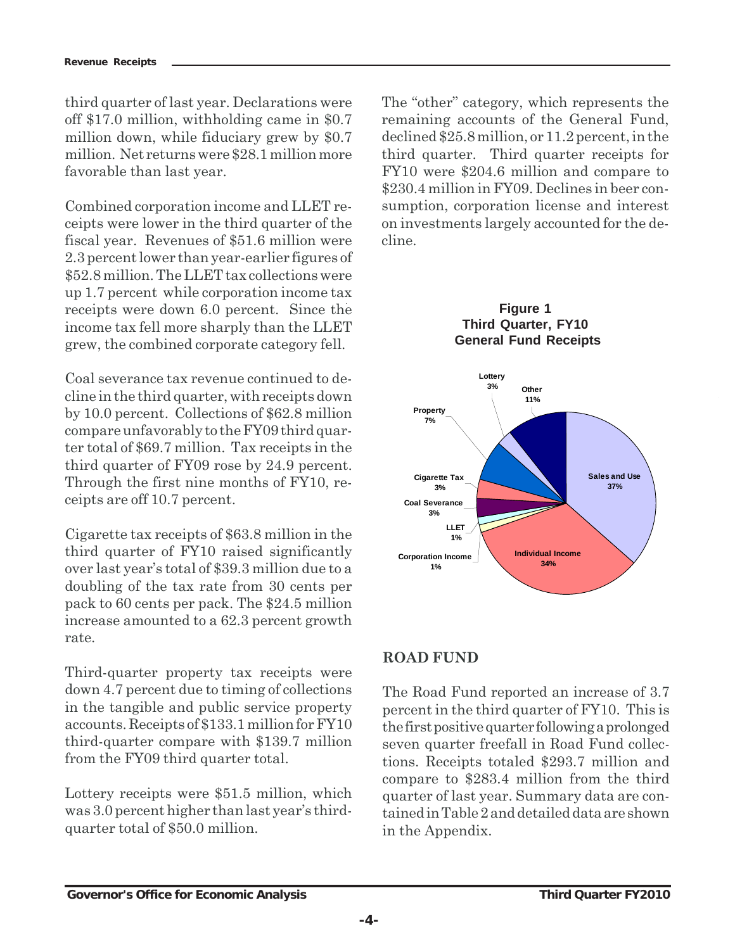third quarter of last year. Declarations were off \$17.0 million, withholding came in \$0.7 million down, while fiduciary grew by \$0.7 million. Net returns were \$28.1 million more favorable than last year.

Combined corporation income and LLET receipts were lower in the third quarter of the fiscal year. Revenues of \$51.6 million were 2.3 percent lower than year-earlier figures of \$52.8 million. The LLET tax collections were up 1.7 percent while corporation income tax receipts were down 6.0 percent. Since the income tax fell more sharply than the LLET grew, the combined corporate category fell.

Coal severance tax revenue continued to decline in the third quarter, with receipts down by 10.0 percent. Collections of \$62.8 million compare unfavorably to the FY09 third quarter total of \$69.7 million. Tax receipts in the third quarter of FY09 rose by 24.9 percent. Through the first nine months of FY10, receipts are off 10.7 percent.

Cigarette tax receipts of \$63.8 million in the third quarter of FY10 raised significantly over last year's total of \$39.3 million due to a doubling of the tax rate from 30 cents per pack to 60 cents per pack. The \$24.5 million increase amounted to a 62.3 percent growth rate.

Third-quarter property tax receipts were down 4.7 percent due to timing of collections in the tangible and public service property accounts. Receipts of \$133.1 million for FY10 third-quarter compare with \$139.7 million from the FY09 third quarter total.

Lottery receipts were \$51.5 million, which was 3.0 percent higher than last year's thirdquarter total of \$50.0 million.

The "other" category, which represents the remaining accounts of the General Fund, declined \$25.8 million, or 11.2 percent, in the third quarter. Third quarter receipts for FY10 were \$204.6 million and compare to \$230.4 million in FY09. Declines in beer consumption, corporation license and interest on investments largely accounted for the decline.



# **ROAD FUND**

The Road Fund reported an increase of 3.7 percent in the third quarter of FY10. This is the first positive quarter following a prolonged seven quarter freefall in Road Fund collections. Receipts totaled \$293.7 million and compare to \$283.4 million from the third quarter of last year. Summary data are contained in Table 2 and detailed data are shown in the Appendix.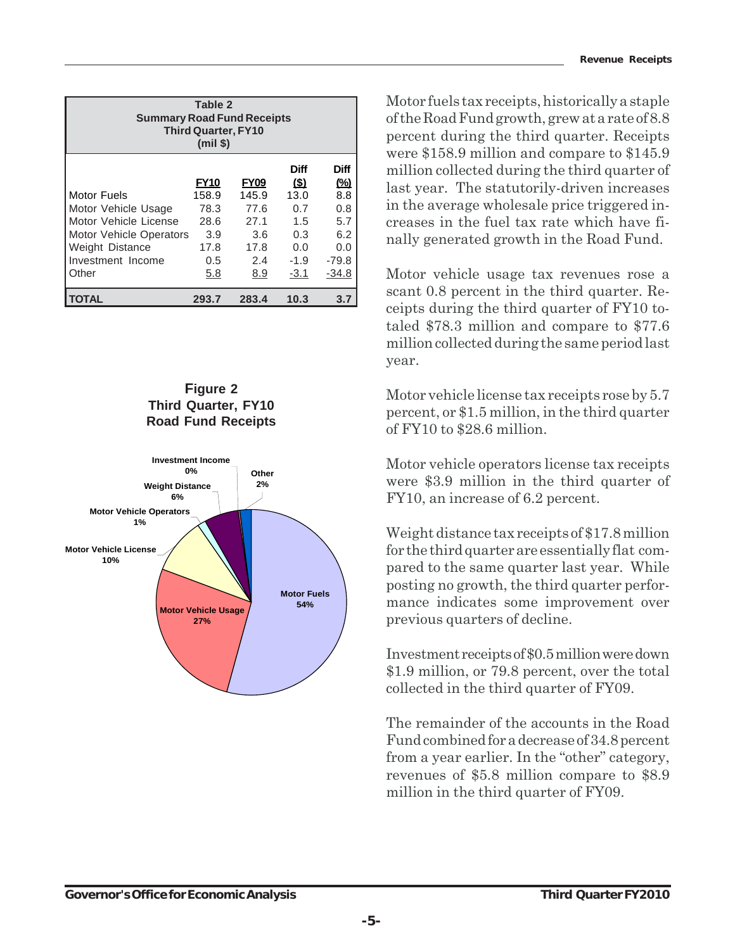| <b>Summary Road Fund Receipts</b>                                                                                | Table 2<br><b>Third Quarter, FY10</b><br>$(mil$ \$) |                                                     |                                                         | Motor fuels tax receipts, historically a staple<br>of the Road Fund growth, grew at a rate of 8.8<br>percent during the third quarter. Receipts<br>were \$158.9 million and compare to \$145.9 |                                                                                                                                                                                                                                         |
|------------------------------------------------------------------------------------------------------------------|-----------------------------------------------------|-----------------------------------------------------|---------------------------------------------------------|------------------------------------------------------------------------------------------------------------------------------------------------------------------------------------------------|-----------------------------------------------------------------------------------------------------------------------------------------------------------------------------------------------------------------------------------------|
| Motor Fuels<br>Motor Vehicle Usage<br>Motor Vehicle License<br>Motor Vehicle Operators<br><b>Weight Distance</b> | <b>FY10</b><br>158.9<br>78.3<br>28.6<br>3.9<br>17.8 | <b>FY09</b><br>145.9<br>77.6<br>27.1<br>3.6<br>17.8 | <b>Diff</b><br>(\$)<br>13.0<br>0.7<br>1.5<br>0.3<br>0.0 | <b>Diff</b><br><u>(%)</u><br>8.8<br>0.8<br>5.7<br>6.2<br>0.0                                                                                                                                   | million collected during the third quarter of<br>last year. The statutorily-driven increases<br>in the average wholesale price triggered in-<br>creases in the fuel tax rate which have fi-<br>nally generated growth in the Road Fund. |
| I Investment Income<br>Other                                                                                     | 0.5<br>5.8                                          | 2.4<br>8.9                                          | $-1.9$<br>$-3.1$                                        | $-79.8$<br>$-34.8$                                                                                                                                                                             | Motor vehicle usage tax revenues rose a                                                                                                                                                                                                 |
| <b>TOTAL</b>                                                                                                     | 293.7                                               | 283.4                                               | 10.3                                                    | 3.7                                                                                                                                                                                            | scant 0.8 percent in the third quarter. Re-<br>$\omega$ and $\omega$ denotes the thing overtex of $\text{EVA}$                                                                                                                          |



Motor vehicle usage tax revenues rose a scant 0.8 percent in the third quarter. Receipts during the third quarter of FY10 totaled \$78.3 million and compare to \$77.6 million collected during the same period last year.

Motor vehicle license tax receipts rose by 5.7 percent, or \$1.5 million, in the third quarter of FY10 to \$28.6 million.

Motor vehicle operators license tax receipts were \$3.9 million in the third quarter of FY10, an increase of 6.2 percent.

Weight distance tax receipts of \$17.8 million for the third quarter are essentially flat compared to the same quarter last year. While posting no growth, the third quarter performance indicates some improvement over previous quarters of decline.

Investment receipts of \$0.5 million were down \$1.9 million, or 79.8 percent, over the total collected in the third quarter of FY09.

The remainder of the accounts in the Road Fund combined for a decrease of 34.8 percent from a year earlier. In the "other" category, revenues of \$5.8 million compare to \$8.9 million in the third quarter of FY09.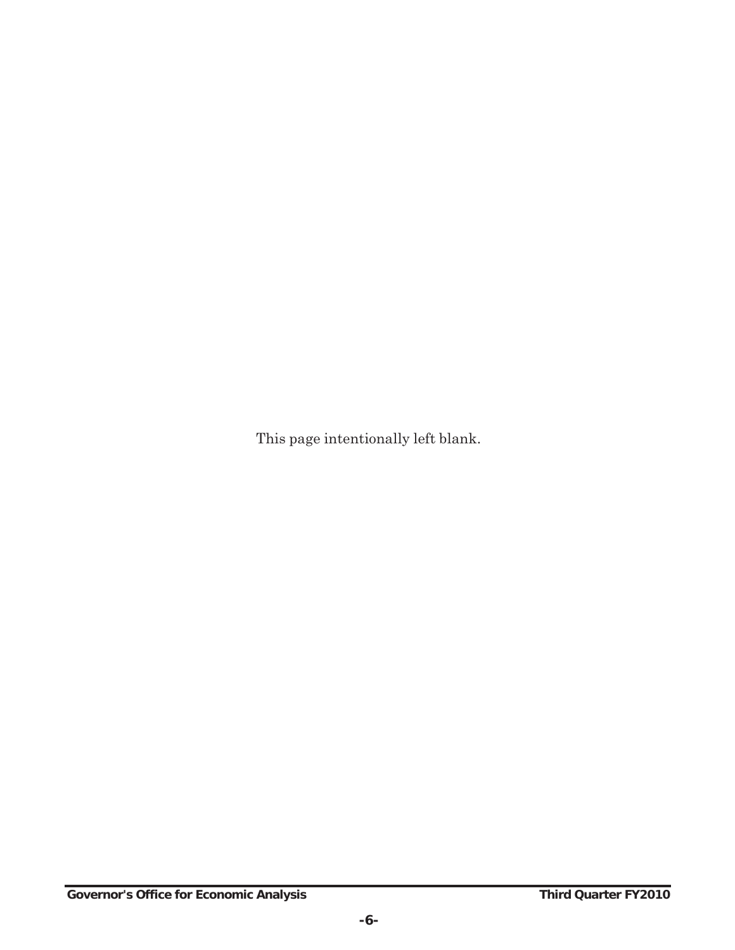This page intentionally left blank.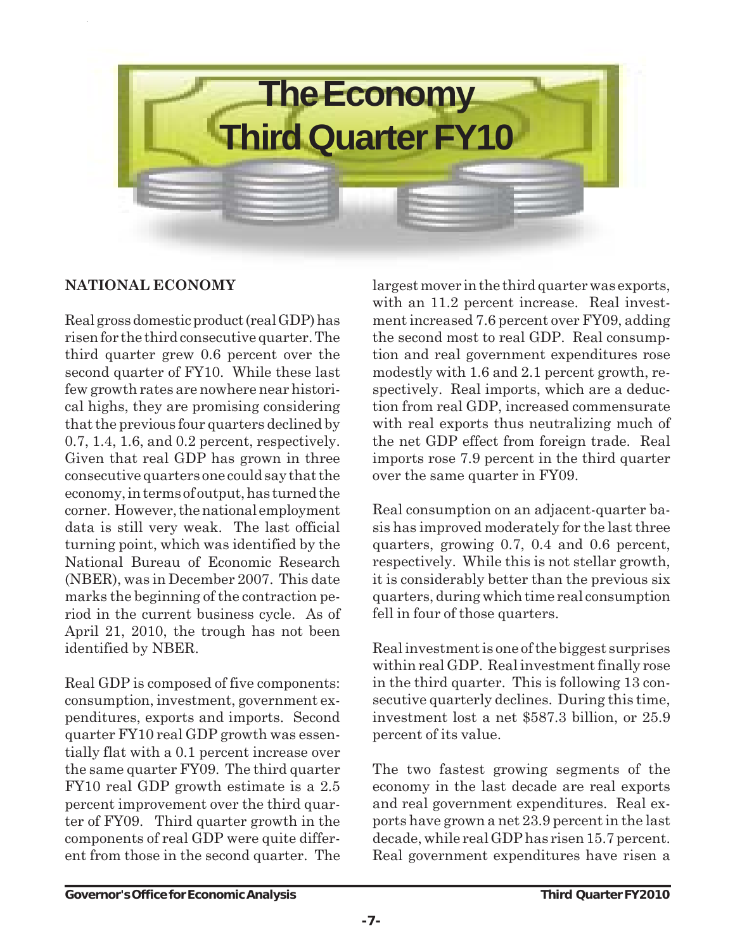

### **NATIONAL ECONOMY**

Real gross domestic product (real GDP) has risen for the third consecutive quarter. The third quarter grew 0.6 percent over the second quarter of FY10. While these last few growth rates are nowhere near historical highs, they are promising considering that the previous four quarters declined by 0.7, 1.4, 1.6, and 0.2 percent, respectively. Given that real GDP has grown in three consecutive quarters one could say that the economy, in terms of output, has turned the corner. However, the national employment data is still very weak. The last official turning point, which was identified by the National Bureau of Economic Research (NBER), was in December 2007. This date marks the beginning of the contraction period in the current business cycle. As of April 21, 2010, the trough has not been identified by NBER.

Real GDP is composed of five components: consumption, investment, government expenditures, exports and imports. Second quarter FY10 real GDP growth was essentially flat with a 0.1 percent increase over the same quarter FY09. The third quarter FY10 real GDP growth estimate is a 2.5 percent improvement over the third quarter of FY09. Third quarter growth in the components of real GDP were quite different from those in the second quarter. The

largest mover in the third quarter was exports, with an  $11.2$  percent increase. Real investment increased 7.6 percent over FY09, adding the second most to real GDP. Real consumption and real government expenditures rose modestly with 1.6 and 2.1 percent growth, respectively. Real imports, which are a deduction from real GDP, increased commensurate with real exports thus neutralizing much of the net GDP effect from foreign trade. Real imports rose 7.9 percent in the third quarter over the same quarter in FY09.

Real consumption on an adjacent-quarter basis has improved moderately for the last three quarters, growing 0.7, 0.4 and 0.6 percent, respectively. While this is not stellar growth, it is considerably better than the previous six quarters, during which time real consumption fell in four of those quarters.

Real investment is one of the biggest surprises within real GDP. Real investment finally rose in the third quarter. This is following 13 consecutive quarterly declines. During this time, investment lost a net \$587.3 billion, or 25.9 percent of its value.

The two fastest growing segments of the economy in the last decade are real exports and real government expenditures. Real exports have grown a net 23.9 percent in the last decade, while real GDP has risen 15.7 percent. Real government expenditures have risen a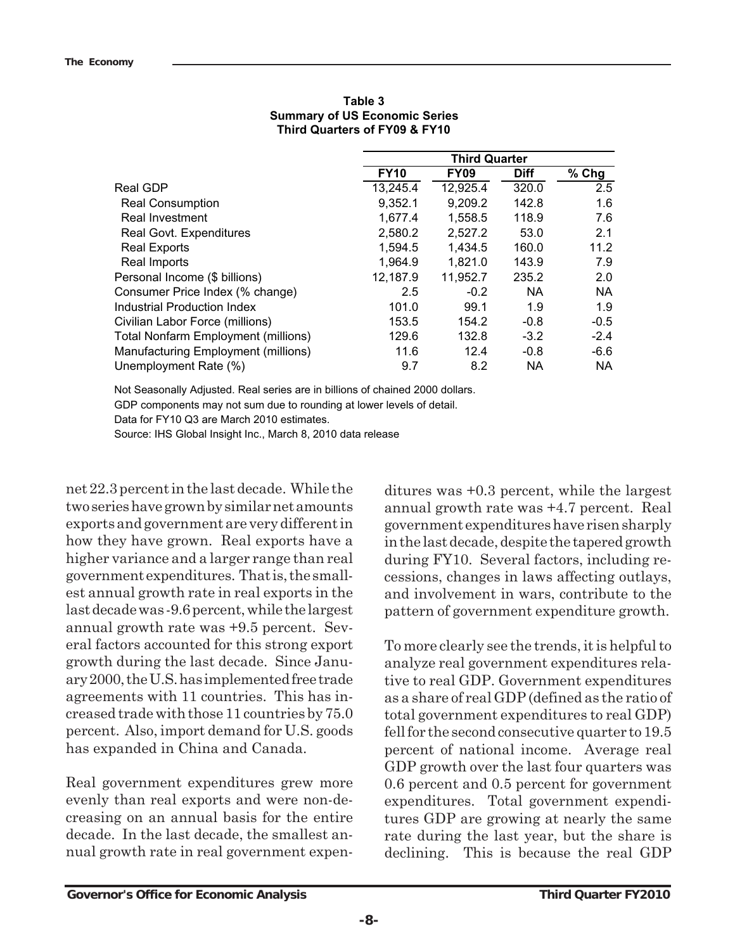|                                            | <b>Third Quarter</b> |             |             |           |  |  |
|--------------------------------------------|----------------------|-------------|-------------|-----------|--|--|
|                                            | <b>FY10</b>          | <b>FY09</b> | <b>Diff</b> | % Chg     |  |  |
| Real GDP                                   | 13,245.4             | 12,925.4    | 320.0       | 2.5       |  |  |
| <b>Real Consumption</b>                    | 9,352.1              | 9,209.2     | 142.8       | 1.6       |  |  |
| Real Investment                            | 1,677.4              | 1,558.5     | 118.9       | 7.6       |  |  |
| Real Govt. Expenditures                    | 2,580.2              | 2,527.2     | 53.0        | 2.1       |  |  |
| <b>Real Exports</b>                        | 1,594.5              | 1,434.5     | 160.0       | 11.2      |  |  |
| Real Imports                               | 1,964.9              | 1,821.0     | 143.9       | 7.9       |  |  |
| Personal Income (\$ billions)              | 12,187.9             | 11,952.7    | 235.2       | 2.0       |  |  |
| Consumer Price Index (% change)            | 2.5                  | $-0.2$      | <b>NA</b>   | NA.       |  |  |
| Industrial Production Index                | 101.0                | 99.1        | 1.9         | 1.9       |  |  |
| Civilian Labor Force (millions)            | 153.5                | 154.2       | $-0.8$      | $-0.5$    |  |  |
| <b>Total Nonfarm Employment (millions)</b> | 129.6                | 132.8       | $-3.2$      | $-2.4$    |  |  |
| Manufacturing Employment (millions)        | 11.6                 | 12.4        | $-0.8$      | $-6.6$    |  |  |
| Unemployment Rate (%)                      | 9.7                  | 8.2         | <b>NA</b>   | <b>NA</b> |  |  |
|                                            |                      |             |             |           |  |  |

### **Table 3 Summary of US Economic Series Third Quarters of FY09 & FY10**

Not Seasonally Adjusted. Real series are in billions of chained 2000 dollars.

GDP components may not sum due to rounding at lower levels of detail.

Data for FY10 Q3 are March 2010 estimates.

Source: IHS Global Insight Inc., March 8, 2010 data release

net 22.3 percent in the last decade. While the two series have grown by similar net amounts exports and government are very different in how they have grown. Real exports have a higher variance and a larger range than real government expenditures. That is, the smallest annual growth rate in real exports in the last decade was -9.6 percent, while the largest annual growth rate was +9.5 percent. Several factors accounted for this strong export growth during the last decade. Since January 2000, the U.S. has implemented free trade agreements with 11 countries. This has increased trade with those 11 countries by 75.0 percent. Also, import demand for U.S. goods has expanded in China and Canada.

Real government expenditures grew more evenly than real exports and were non-decreasing on an annual basis for the entire decade. In the last decade, the smallest annual growth rate in real government expenditures was +0.3 percent, while the largest annual growth rate was +4.7 percent. Real government expenditures have risen sharply in the last decade, despite the tapered growth during FY10. Several factors, including recessions, changes in laws affecting outlays, and involvement in wars, contribute to the pattern of government expenditure growth.

To more clearly see the trends, it is helpful to analyze real government expenditures relative to real GDP. Government expenditures as a share of real GDP (defined as the ratio of total government expenditures to real GDP) fell for the second consecutive quarter to 19.5 percent of national income. Average real GDP growth over the last four quarters was 0.6 percent and 0.5 percent for government expenditures. Total government expenditures GDP are growing at nearly the same rate during the last year, but the share is declining. This is because the real GDP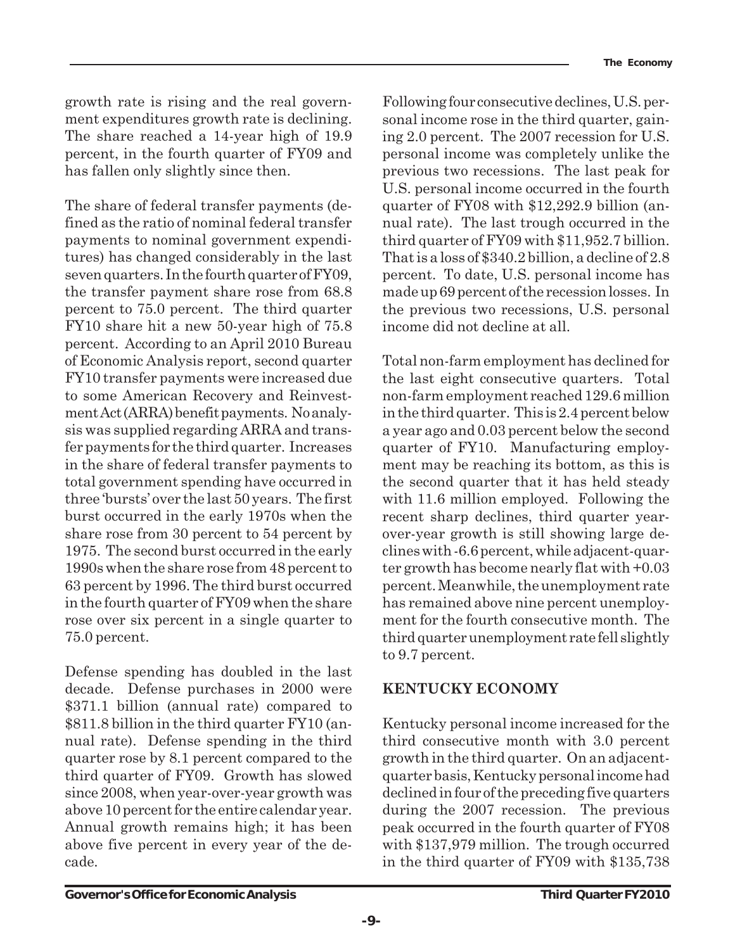The share reached a 14-year high of 19.9 ing 2.0 percent. The 2007 recession for U.S. growth rate is rising and the real government expenditures growth rate is declining. The share reached a 14-year high of 19.9 percent, in the fourth quarter of FY09 and has fallen only slightly since then.

The share of federal transfer payments (defined as the ratio of nominal federal transfer payments to nominal government expenditures) has changed considerably in the last seven quarters. In the fourth quarter of FY09, the transfer payment share rose from 68.8 percent to 75.0 percent. The third quarter FY10 share hit a new 50-year high of 75.8 percent. According to an April 2010 Bureau of Economic Analysis report, second quarter FY10 transfer payments were increased due to some American Recovery and Reinvestment Act (ARRA) benefit payments. No analysis was supplied regarding ARRA and transfer payments for the third quarter. Increases in the share of federal transfer payments to total government spending have occurred in three 'bursts' over the last 50 years. The first burst occurred in the early 1970s when the share rose from 30 percent to 54 percent by 1975. The second burst occurred in the early 1990s when the share rose from 48 percent to 63 percent by 1996. The third burst occurred in the fourth quarter of FY09 when the share rose over six percent in a single quarter to 75.0 percent.

Defense spending has doubled in the last decade. Defense purchases in 2000 were \$371.1 billion (annual rate) compared to \$811.8 billion in the third quarter FY10 (annual rate). Defense spending in the third quarter rose by 8.1 percent compared to the third quarter of FY09. Growth has slowed since 2008, when year-over-year growth was above 10 percent for the entire calendar year. Annual growth remains high; it has been above five percent in every year of the decade.

Following four consecutive declines, U.S. personal income rose in the third quarter, gainpersonal income was completely unlike the previous two recessions. The last peak for U.S. personal income occurred in the fourth quarter of FY08 with \$12,292.9 billion (annual rate). The last trough occurred in the third quarter of FY09 with \$11,952.7 billion. That is a loss of \$340.2 billion, a decline of 2.8 percent. To date, U.S. personal income has made up 69 percent of the recession losses. In the previous two recessions, U.S. personal income did not decline at all.

Total non-farm employment has declined for the last eight consecutive quarters. Total non-farm employment reached 129.6 million in the third quarter. This is 2.4 percent below a year ago and 0.03 percent below the second quarter of FY10. Manufacturing employment may be reaching its bottom, as this is the second quarter that it has held steady with 11.6 million employed. Following the recent sharp declines, third quarter yearover-year growth is still showing large declines with -6.6 percent, while adjacent-quarter growth has become nearly flat with +0.03 percent. Meanwhile, the unemployment rate has remained above nine percent unemployment for the fourth consecutive month. The third quarter unemployment rate fell slightly to 9.7 percent.

# **KENTUCKY ECONOMY**

Kentucky personal income increased for the third consecutive month with 3.0 percent growth in the third quarter. On an adjacentquarter basis, Kentucky personal income had declined in four of the preceding five quarters during the 2007 recession. The previous peak occurred in the fourth quarter of FY08 with \$137,979 million. The trough occurred in the third quarter of FY09 with \$135,738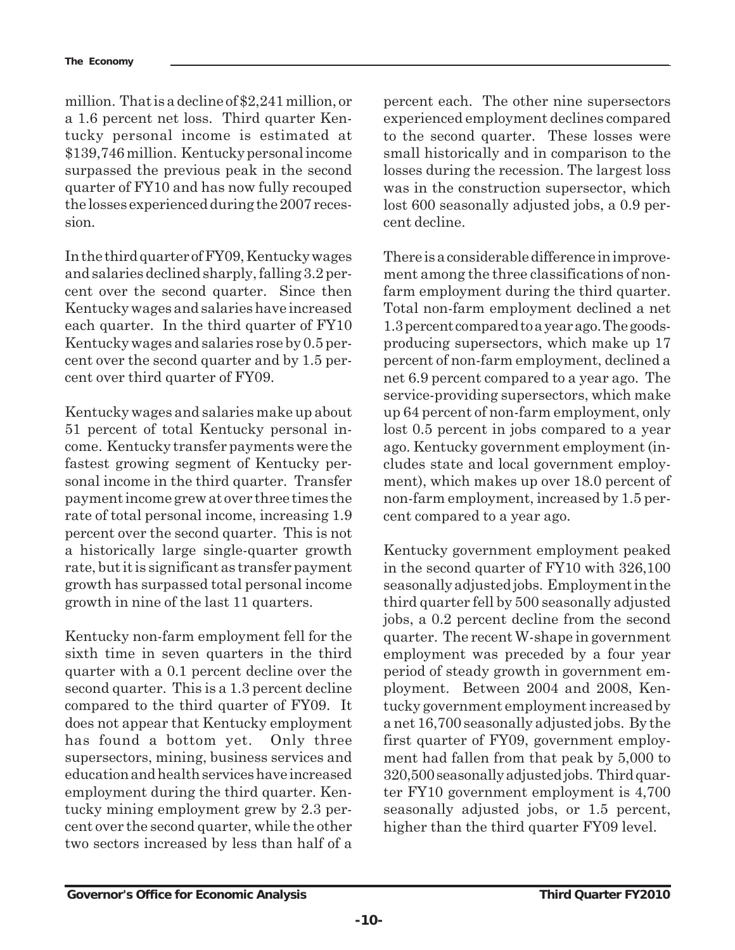million. That is a decline of \$2,241 million, or a 1.6 percent net loss. Third quarter Kentucky personal income is estimated at \$139,746 million. Kentucky personal income surpassed the previous peak in the second quarter of FY10 and has now fully recouped the losses experienced during the 2007 recession.

In the third quarter of FY09, Kentucky wages and salaries declined sharply, falling 3.2 percent over the second quarter. Since then Kentucky wages and salaries have increased each quarter. In the third quarter of FY10 Kentucky wages and salaries rose by 0.5 percent over the second quarter and by 1.5 percent over third quarter of FY09.

Kentucky wages and salaries make up about 51 percent of total Kentucky personal income. Kentucky transfer payments were the fastest growing segment of Kentucky personal income in the third quarter. Transfer payment income grew at over three times the rate of total personal income, increasing 1.9 percent over the second quarter. This is not a historically large single-quarter growth rate, but it is significant as transfer payment growth has surpassed total personal income growth in nine of the last 11 quarters.

Kentucky non-farm employment fell for the sixth time in seven quarters in the third quarter with a 0.1 percent decline over the second quarter. This is a 1.3 percent decline compared to the third quarter of FY09. It does not appear that Kentucky employment has found a bottom yet. Only three supersectors, mining, business services and education and health services have increased employment during the third quarter. Kentucky mining employment grew by 2.3 percent over the second quarter, while the other two sectors increased by less than half of a

percent each. The other nine supersectors experienced employment declines compared to the second quarter. These losses were small historically and in comparison to the losses during the recession. The largest loss was in the construction supersector, which lost 600 seasonally adjusted jobs, a 0.9 percent decline.

There is a considerable difference in improvement among the three classifications of nonfarm employment during the third quarter. Total non-farm employment declined a net 1.3 percent compared to a year ago. The goodsproducing supersectors, which make up 17 percent of non-farm employment, declined a net 6.9 percent compared to a year ago. The service-providing supersectors, which make up 64 percent of non-farm employment, only lost 0.5 percent in jobs compared to a year ago. Kentucky government employment (includes state and local government employment), which makes up over 18.0 percent of non-farm employment, increased by 1.5 percent compared to a year ago.

Kentucky government employment peaked in the second quarter of FY10 with 326,100 seasonally adjusted jobs. Employment in the third quarter fell by 500 seasonally adjusted jobs, a 0.2 percent decline from the second quarter. The recent W-shape in government employment was preceded by a four year period of steady growth in government employment. Between 2004 and 2008, Kentucky government employment increased by a net 16,700 seasonally adjusted jobs. By the first quarter of FY09, government employment had fallen from that peak by 5,000 to 320,500 seasonally adjusted jobs. Third quarter FY10 government employment is 4,700 seasonally adjusted jobs, or 1.5 percent, higher than the third quarter FY09 level.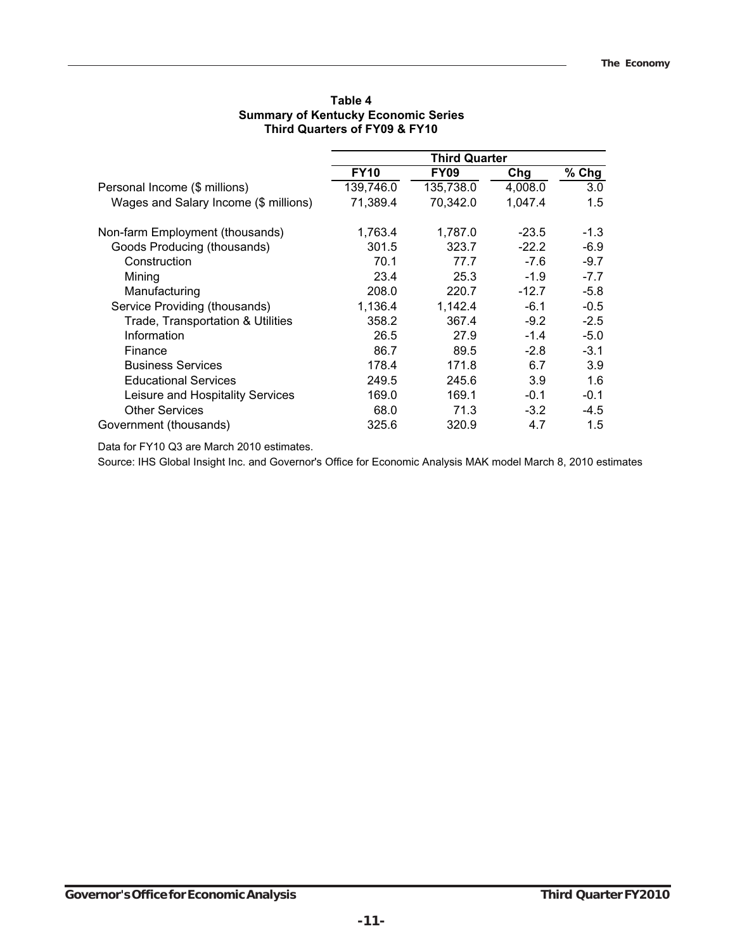|                                       | Third Quarter |             |         |         |  |  |
|---------------------------------------|---------------|-------------|---------|---------|--|--|
|                                       | <b>FY10</b>   | <b>FY09</b> | Chg     | $%$ Chg |  |  |
| Personal Income (\$ millions)         | 139,746.0     | 135,738.0   | 4,008.0 | 3.0     |  |  |
| Wages and Salary Income (\$ millions) | 71,389.4      | 70,342.0    | 1,047.4 | 1.5     |  |  |
| Non-farm Employment (thousands)       | 1,763.4       | 1,787.0     | $-23.5$ | -1.3    |  |  |
| Goods Producing (thousands)           | 301.5         | 323.7       | $-22.2$ | -6.9    |  |  |
| Construction                          | 70.1          | 77.7        | $-7.6$  | $-9.7$  |  |  |
| Mining                                | 23.4          | 25.3        | $-1.9$  | $-7.7$  |  |  |
| Manufacturing                         | 208.0         | 220.7       | $-12.7$ | $-5.8$  |  |  |
| Service Providing (thousands)         | 1,136.4       | 1,142.4     | $-6.1$  | $-0.5$  |  |  |
| Trade, Transportation & Utilities     | 358.2         | 367.4       | $-9.2$  | $-2.5$  |  |  |
| Information                           | 26.5          | 27.9        | $-1.4$  | $-5.0$  |  |  |
| Finance                               | 86.7          | 89.5        | $-2.8$  | $-3.1$  |  |  |
| <b>Business Services</b>              | 178.4         | 171.8       | 6.7     | 3.9     |  |  |
| <b>Educational Services</b>           | 249.5         | 245.6       | 3.9     | 1.6     |  |  |
| Leisure and Hospitality Services      | 169.0         | 169.1       | $-0.1$  | $-0.1$  |  |  |
| <b>Other Services</b>                 | 68.0          | 71.3        | $-3.2$  | -4.5    |  |  |
| Government (thousands)                | 325.6         | 320.9       | 4.7     | 1.5     |  |  |

#### **THE QUARTER STREET FIRST FIRST REPORT FIRST QUARTER Third Quarters of FY09 & FY10 Summary of Kentucky Economic Series Table 4**

Data for FY10 Q3 are March 2010 estimates.

Source: IHS Global Insight Inc. and Governor's Office for Economic Analysis MAK model March 8, 2010 estimates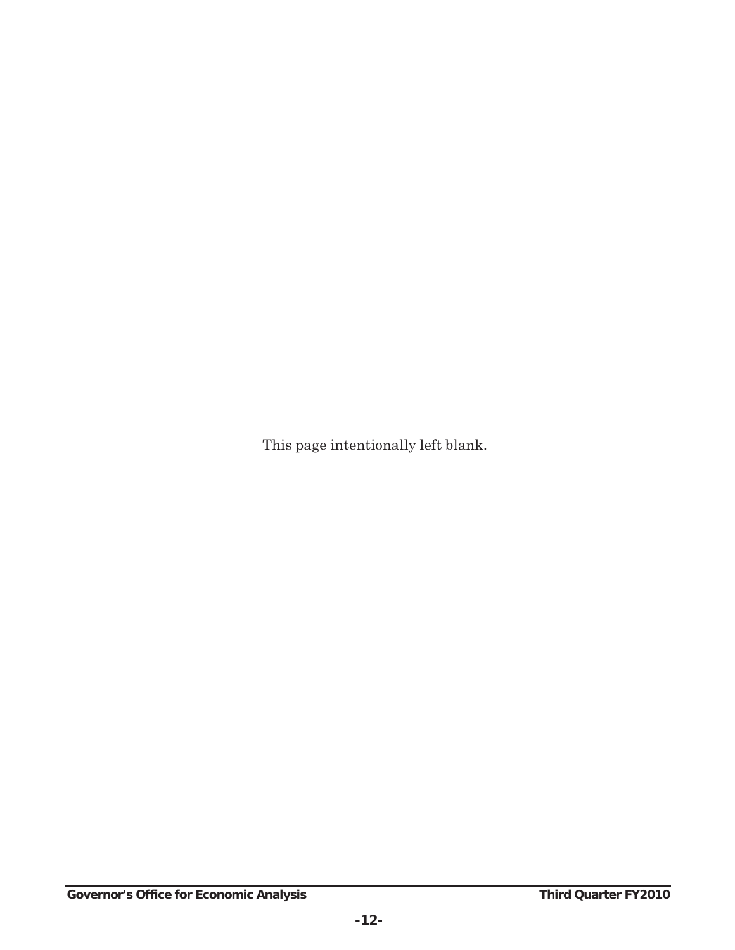This page intentionally left blank.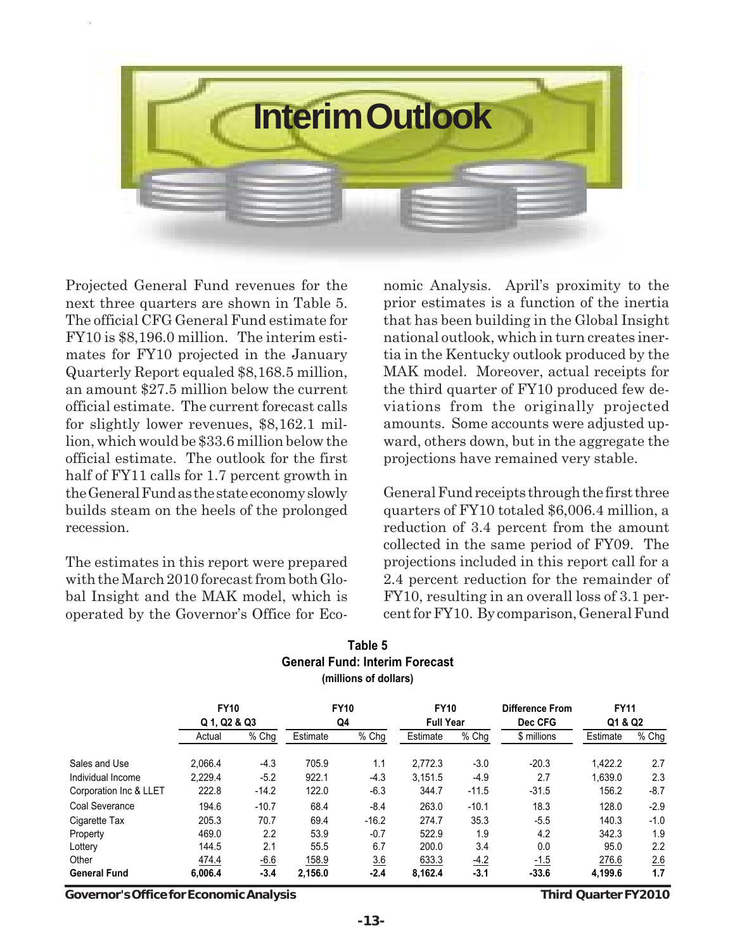

Projected General Fund revenues for the next three quarters are shown in Table 5. The official CFG General Fund estimate for FY10 is \$8,196.0 million. The interim estimates for FY10 projected in the January Quarterly Report equaled \$8,168.5 million, an amount \$27.5 million below the current official estimate. The current forecast calls for slightly lower revenues, \$8,162.1 million, which would be \$33.6 million below the official estimate. The outlook for the first half of FY11 calls for 1.7 percent growth in the General Fund as the state economy slowly builds steam on the heels of the prolonged recession.

The estimates in this report were prepared with the March 2010 forecast from both Global Insight and the MAK model, which is operated by the Governor's Office for Economic Analysis. April's proximity to the prior estimates is a function of the inertia that has been building in the Global Insight national outlook, which in turn creates inertia in the Kentucky outlook produced by the MAK model. Moreover, actual receipts for the third quarter of FY10 produced few deviations from the originally projected amounts. Some accounts were adjusted upward, others down, but in the aggregate the projections have remained very stable.

General Fund receipts through the first three quarters of FY10 totaled \$6,006.4 million, a reduction of 3.4 percent from the amount collected in the same period of FY09. The projections included in this report call for a 2.4 percent reduction for the remainder of FY10, resulting in an overall loss of 3.1 percent for FY10. By comparison, General Fund

| <b>FY10</b><br>Q 1, Q 2 & Q 3 |         | <b>FY10</b><br>Q4 |         | <b>FY10</b><br><b>Full Year</b> |         | <b>Difference From</b><br>Dec CFG | <b>FY11</b><br>Q1 & Q2 |        |  |
|-------------------------------|---------|-------------------|---------|---------------------------------|---------|-----------------------------------|------------------------|--------|--|
| Actual                        | % Chq   | Estimate          | % Chq   | Estimate                        | % Chg   | \$ millions                       | Estimate               | % Chg  |  |
| 2.066.4                       | $-4.3$  | 705.9             | 1.1     | 2.772.3                         | $-3.0$  | $-20.3$                           | 1,422.2                | 2.7    |  |
| 2.229.4                       | $-5.2$  | 922.1             | $-4.3$  | 3.151.5                         | $-4.9$  | 2.7                               | 1.639.0                | 2.3    |  |
| 222.8                         | $-14.2$ | 122.0             | $-6.3$  | 344.7                           | $-11.5$ | $-31.5$                           | 156.2                  | $-8.7$ |  |
| 194.6                         | $-10.7$ | 68.4              | $-8.4$  | 263.0                           | $-10.1$ | 18.3                              | 128.0                  | $-2.9$ |  |
| 205.3                         | 70.7    | 69.4              | $-16.2$ | 274.7                           | 35.3    | $-5.5$                            | 140.3                  | $-1.0$ |  |
| 469.0                         | 2.2     | 53.9              | $-0.7$  | 522.9                           | 1.9     | 4.2                               | 342.3                  | 1.9    |  |
| 144.5                         | 2.1     | 55.5              | 6.7     | 200.0                           | 3.4     | 0.0                               | 95.0                   | 2.2    |  |
| 474.4                         | $-6.6$  | 158.9             |         | 633.3                           |         | <u>-1.5</u>                       | 276.6                  | 2.6    |  |
| 6,006.4                       | $-3.4$  | 2,156.0           | $-2.4$  | 8,162.4                         | $-3.1$  | $-33.6$                           | 4,199.6                | 1.7    |  |
|                               |         |                   |         | 3.6                             |         | $-4.2$                            |                        |        |  |

### **Table 5 General Fund: Interim Forecast (millions of dollars)**

**Governor's Office for Economic Analysis Third Quarter FY2010**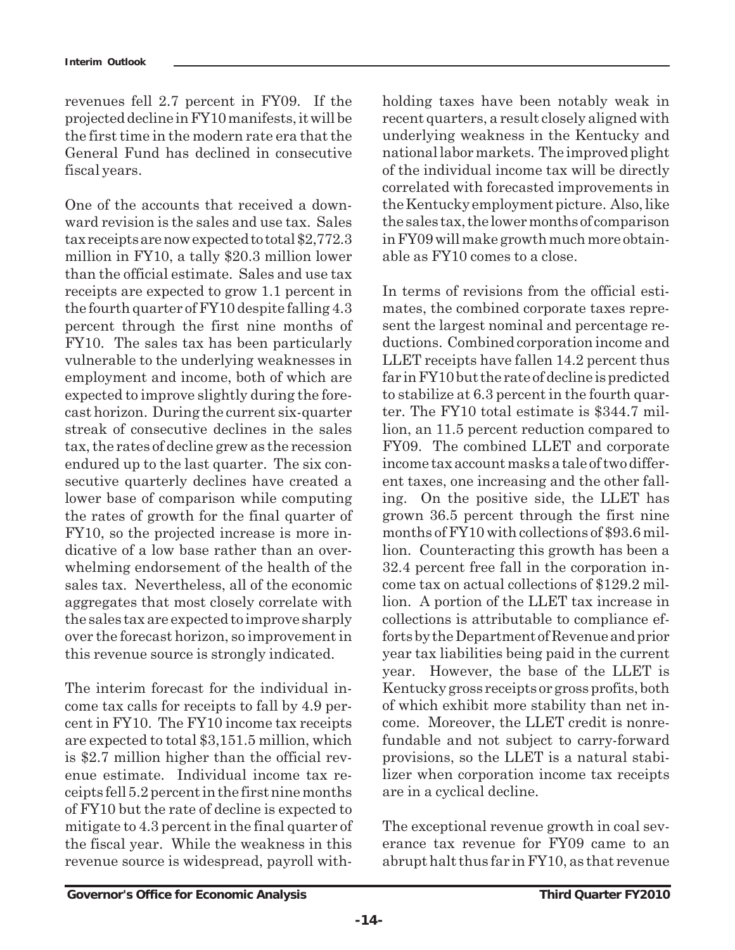revenues fell 2.7 percent in FY09. If the projected decline in FY10 manifests, it will be the first time in the modern rate era that the General Fund has declined in consecutive fiscal years.

One of the accounts that received a downward revision is the sales and use tax. Sales tax receipts are now expected to total \$2,772.3 million in FY10, a tally \$20.3 million lower than the official estimate. Sales and use tax receipts are expected to grow 1.1 percent in the fourth quarter of FY10 despite falling 4.3 percent through the first nine months of FY10. The sales tax has been particularly vulnerable to the underlying weaknesses in employment and income, both of which are expected to improve slightly during the forecast horizon. During the current six-quarter streak of consecutive declines in the sales tax, the rates of decline grew as the recession endured up to the last quarter. The six consecutive quarterly declines have created a lower base of comparison while computing the rates of growth for the final quarter of FY10, so the projected increase is more indicative of a low base rather than an overwhelming endorsement of the health of the sales tax. Nevertheless, all of the economic aggregates that most closely correlate with the sales tax are expected to improve sharply over the forecast horizon, so improvement in this revenue source is strongly indicated.

The interim forecast for the individual income tax calls for receipts to fall by 4.9 percent in FY10. The FY10 income tax receipts are expected to total \$3,151.5 million, which is \$2.7 million higher than the official revenue estimate. Individual income tax receipts fell 5.2 percent in the first nine months of FY10 but the rate of decline is expected to mitigate to 4.3 percent in the final quarter of the fiscal year. While the weakness in this revenue source is widespread, payroll withholding taxes have been notably weak in recent quarters, a result closely aligned with underlying weakness in the Kentucky and national labor markets. The improved plight of the individual income tax will be directly correlated with forecasted improvements in the Kentucky employment picture. Also, like the sales tax, the lower months of comparison in FY09 will make growth much more obtainable as FY10 comes to a close.

In terms of revisions from the official estimates, the combined corporate taxes represent the largest nominal and percentage reductions. Combined corporation income and LLET receipts have fallen 14.2 percent thus far in FY10 but the rate of decline is predicted to stabilize at 6.3 percent in the fourth quarter. The FY10 total estimate is \$344.7 million, an 11.5 percent reduction compared to FY09. The combined LLET and corporate income tax account masks a tale of two different taxes, one increasing and the other falling. On the positive side, the LLET has grown 36.5 percent through the first nine months of FY10 with collections of \$93.6 million. Counteracting this growth has been a 32.4 percent free fall in the corporation income tax on actual collections of \$129.2 million. A portion of the LLET tax increase in collections is attributable to compliance efforts by the Department of Revenue and prior year tax liabilities being paid in the current year. However, the base of the LLET is Kentucky gross receipts or gross profits, both of which exhibit more stability than net income. Moreover, the LLET credit is nonrefundable and not subject to carry-forward provisions, so the LLET is a natural stabilizer when corporation income tax receipts are in a cyclical decline.

The exceptional revenue growth in coal severance tax revenue for FY09 came to an abrupt halt thus far in FY10, as that revenue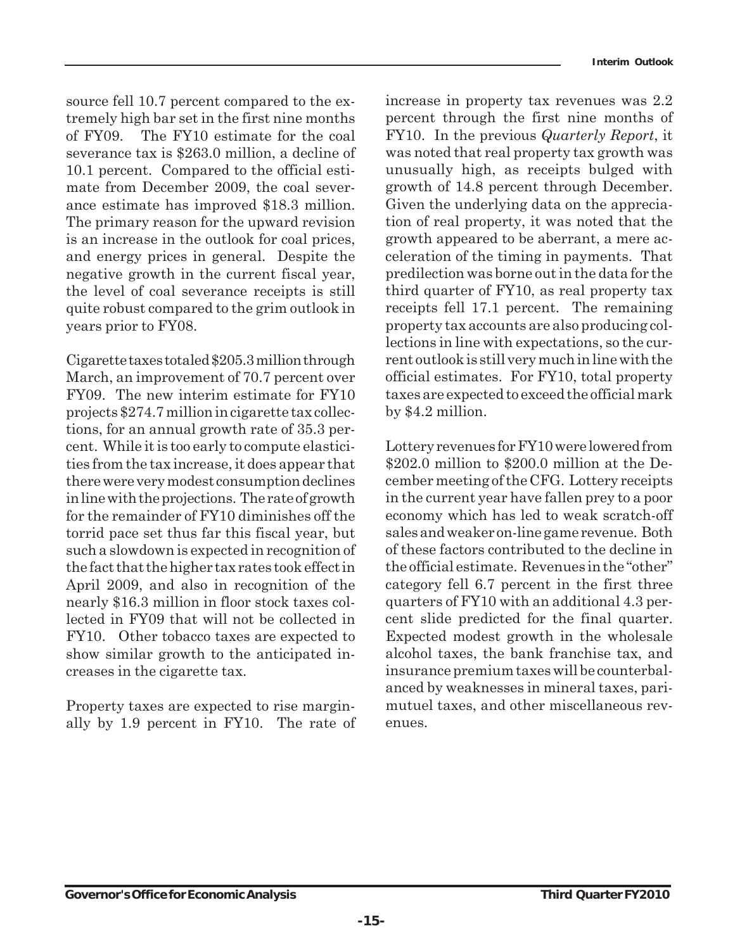of FY09. The FY10 estimate for the coal FY10. In the previous *Quarterly Report*, it source fell 10.7 percent compared to the extremely high bar set in the first nine months of FY09. The FY10 estimate for the coal severance tax is \$263.0 million, a decline of 10.1 percent. Compared to the official estimate from December 2009, the coal severance estimate has improved \$18.3 million. The primary reason for the upward revision is an increase in the outlook for coal prices, and energy prices in general. Despite the negative growth in the current fiscal year, the level of coal severance receipts is still quite robust compared to the grim outlook in years prior to FY08.

Cigarette taxes totaled \$205.3 million through March, an improvement of 70.7 percent over FY09. The new interim estimate for FY10 projects \$274.7 million in cigarette tax collections, for an annual growth rate of 35.3 percent. While it is too early to compute elasticities from the tax increase, it does appear that there were very modest consumption declines in line with the projections. The rate of growth for the remainder of FY10 diminishes off the torrid pace set thus far this fiscal year, but such a slowdown is expected in recognition of the fact that the higher tax rates took effect in April 2009, and also in recognition of the nearly \$16.3 million in floor stock taxes collected in FY09 that will not be collected in FY10. Other tobacco taxes are expected to show similar growth to the anticipated increases in the cigarette tax.

Property taxes are expected to rise marginally by 1.9 percent in FY10. The rate of increase in property tax revenues was 2.2 percent through the first nine months of was noted that real property tax growth was unusually high, as receipts bulged with growth of 14.8 percent through December. Given the underlying data on the appreciation of real property, it was noted that the growth appeared to be aberrant, a mere acceleration of the timing in payments. That predilection was borne out in the data for the third quarter of FY10, as real property tax receipts fell 17.1 percent. The remaining property tax accounts are also producing collections in line with expectations, so the current outlook is still very much in line with the official estimates. For FY10, total property taxes are expected to exceed the official mark by \$4.2 million.

Lottery revenues for FY10 were lowered from \$202.0 million to \$200.0 million at the December meeting of the CFG. Lottery receipts in the current year have fallen prey to a poor economy which has led to weak scratch-off sales and weaker on-line game revenue. Both of these factors contributed to the decline in the official estimate. Revenues in the "other" category fell 6.7 percent in the first three quarters of FY10 with an additional 4.3 percent slide predicted for the final quarter. Expected modest growth in the wholesale alcohol taxes, the bank franchise tax, and insurance premium taxes will be counterbalanced by weaknesses in mineral taxes, parimutuel taxes, and other miscellaneous revenues.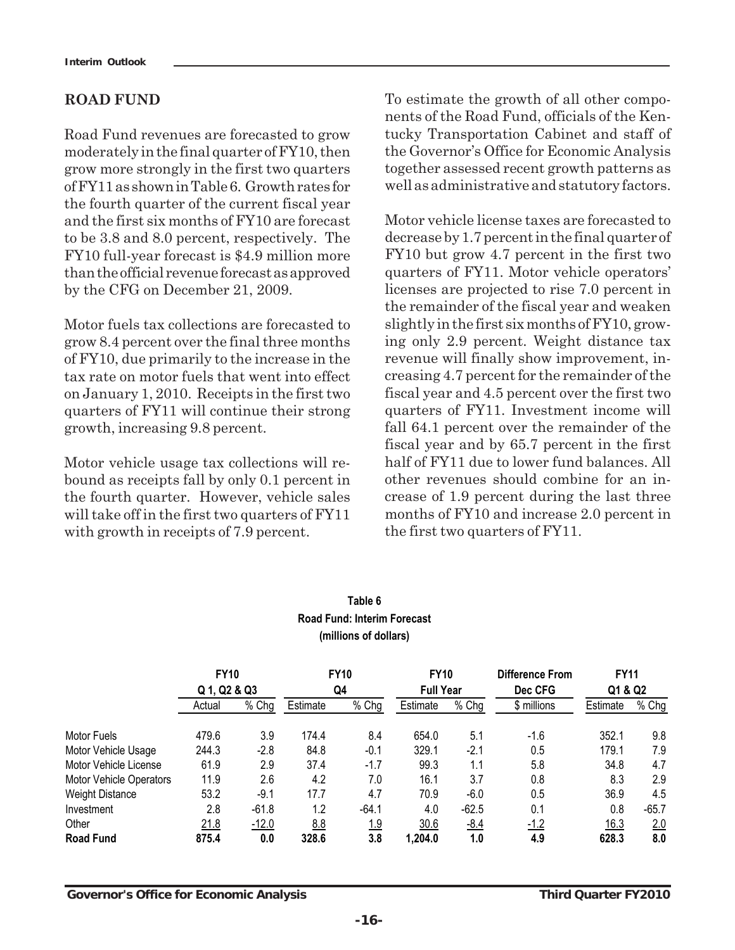# **ROAD FUND**

Road Fund revenues are forecasted to grow moderately in the final quarter of FY10, then grow more strongly in the first two quarters of FY11 as shown in Table 6. Growth rates for the fourth quarter of the current fiscal year and the first six months of FY10 are forecast to be 3.8 and 8.0 percent, respectively. The FY10 full-year forecast is \$4.9 million more than the official revenue forecast as approved by the CFG on December 21, 2009.

Motor fuels tax collections are forecasted to grow 8.4 percent over the final three months of FY10, due primarily to the increase in the tax rate on motor fuels that went into effect on January 1, 2010. Receipts in the first two quarters of FY11 will continue their strong growth, increasing 9.8 percent.

Motor vehicle usage tax collections will rebound as receipts fall by only 0.1 percent in the fourth quarter. However, vehicle sales will take off in the first two quarters of FY11 with growth in receipts of 7.9 percent.

To estimate the growth of all other components of the Road Fund, officials of the Kentucky Transportation Cabinet and staff of the Governor's Office for Economic Analysis together assessed recent growth patterns as well as administrative and statutory factors.

Motor vehicle license taxes are forecasted to decrease by 1.7 percent in the final quarter of FY10 but grow 4.7 percent in the first two quarters of FY11. Motor vehicle operators' licenses are projected to rise 7.0 percent in the remainder of the fiscal year and weaken slightly in the first six months of FY10, growing only 2.9 percent. Weight distance tax revenue will finally show improvement, increasing 4.7 percent for the remainder of the fiscal year and 4.5 percent over the first two quarters of FY11. Investment income will fall 64.1 percent over the remainder of the fiscal year and by 65.7 percent in the first half of FY11 due to lower fund balances. All other revenues should combine for an increase of 1.9 percent during the last three months of FY10 and increase 2.0 percent in the first two quarters of FY11.

| <b>Road Fund: Interim Forecast</b><br>(millions of dollars) |                              |         |                   |             |                                 |         |                                   |                        |         |  |  |
|-------------------------------------------------------------|------------------------------|---------|-------------------|-------------|---------------------------------|---------|-----------------------------------|------------------------|---------|--|--|
|                                                             | <b>FY10</b><br>Q 1, Q 2& Q 3 |         | <b>FY10</b><br>Q4 |             | <b>FY10</b><br><b>Full Year</b> |         | <b>Difference From</b><br>Dec CFG | <b>FY11</b><br>Q1 & Q2 |         |  |  |
|                                                             | Actual                       | % Chg   | Estimate          | % Chg       | Estimate                        | % Chg   | \$ millions                       | Estimate               | % Chg   |  |  |
| <b>Motor Fuels</b>                                          | 479.6                        | 3.9     | 174.4             | 8.4         | 654.0                           | 5.1     | $-1.6$                            | 352.1                  | 9.8     |  |  |
| Motor Vehicle Usage                                         | 244.3                        | -2.8    | 84.8              | $-0.1$      | 329.1                           | $-2.1$  | 0.5                               | 179.1                  | 7.9     |  |  |
| Motor Vehicle License                                       | 61.9                         | 2.9     | 37.4              | $-1.7$      | 99.3                            | 1.1     | 5.8                               | 34.8                   | 4.7     |  |  |
| <b>Motor Vehicle Operators</b>                              | 11.9                         | 2.6     | 4.2               | 7.0         | 16.1                            | 3.7     | 0.8                               | 8.3                    | 2.9     |  |  |
| <b>Weight Distance</b>                                      | 53.2                         | $-9.1$  | 17.7              | 4.7         | 70.9                            | $-6.0$  | 0.5                               | 36.9                   | 4.5     |  |  |
| Investment                                                  | 2.8                          | $-61.8$ | 1.2               | $-64.1$     | 4.0                             | $-62.5$ | 0.1                               | 0.8                    | $-65.7$ |  |  |
| Other                                                       | 21.8                         | $-12.0$ | 8.8               | <u> 1.9</u> | 30.6                            | $-8.4$  | $-1.2$                            | 16.3                   | 2.0     |  |  |
| <b>Road Fund</b>                                            | 875.4                        | 0.0     | 328.6             | 3.8         | 1,204.0                         | 1.0     | 4.9                               | 628.3                  | 8.0     |  |  |

# **Table 6**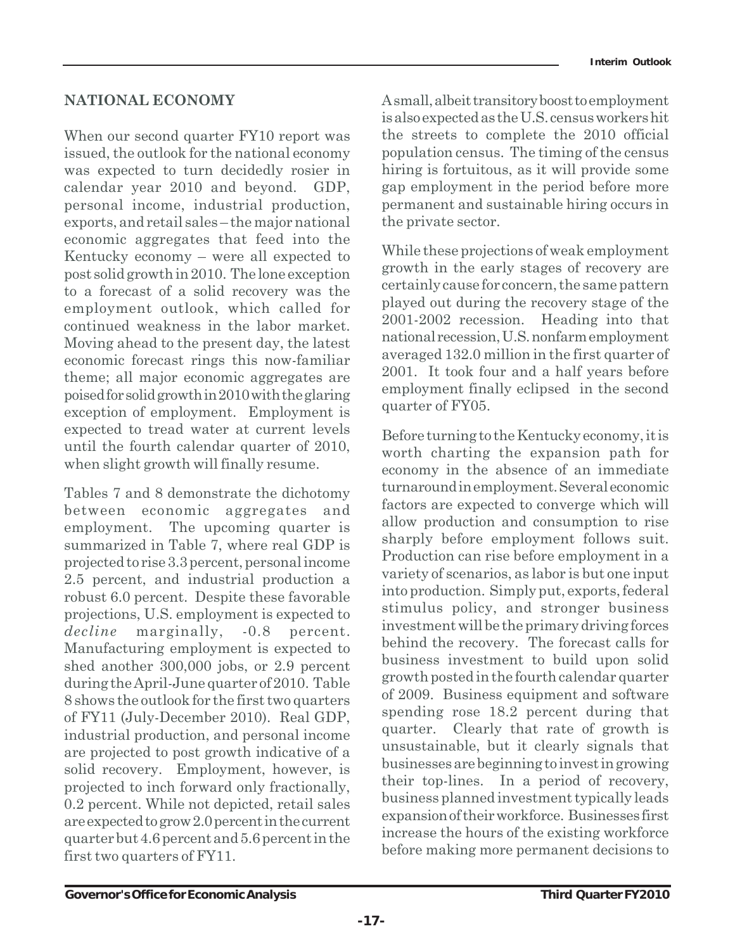### **NATIONAL ECONOMY**

When our second quarter FY10 report was the streets to complete the 2010 official issued, the outlook for the national economy was expected to turn decidedly rosier in calendar year 2010 and beyond. GDP, personal income, industrial production, exports, and retail sales – the major national economic aggregates that feed into the Kentucky economy – were all expected to post solid growth in 2010. The lone exception to a forecast of a solid recovery was the employment outlook, which called for continued weakness in the labor market. Moving ahead to the present day, the latest economic forecast rings this now-familiar theme; all major economic aggregates are poised for solid growth in 2010 with the glaring exception of employment. Employment is expected to tread water at current levels until the fourth calendar quarter of 2010, when slight growth will finally resume.

Tables 7 and 8 demonstrate the dichotomy between economic aggregates and employment. The upcoming quarter is summarized in Table 7, where real GDP is projected to rise 3.3 percent, personal income 2.5 percent, and industrial production a robust 6.0 percent. Despite these favorable projections, U.S. employment is expected to *decline* marginally, -0.8 percent. Manufacturing employment is expected to shed another 300,000 jobs, or 2.9 percent during the April-June quarter of 2010. Table 8 shows the outlook for the first two quarters of FY11 (July-December 2010). Real GDP, industrial production, and personal income are projected to post growth indicative of a solid recovery. Employment, however, is projected to inch forward only fractionally, 0.2 percent. While not depicted, retail sales are expected to grow 2.0 percent in the current quarter but 4.6 percent and 5.6 percent in the first two quarters of FY11.

A small, albeit transitory boost to employment is also expected as the U.S. census workers hit the streets to complete the 2010 official population census. The timing of the census hiring is fortuitous, as it will provide some gap employment in the period before more permanent and sustainable hiring occurs in the private sector.

While these projections of weak employment growth in the early stages of recovery are certainly cause for concern, the same pattern played out during the recovery stage of the 2001-2002 recession. Heading into that national recession, U.S. nonfarm employment averaged 132.0 million in the first quarter of 2001. It took four and a half years before employment finally eclipsed in the second quarter of FY05.

Before turning to the Kentucky economy, it is worth charting the expansion path for economy in the absence of an immediate turnaround in employment. Several economic factors are expected to converge which will allow production and consumption to rise sharply before employment follows suit. Production can rise before employment in a variety of scenarios, as labor is but one input into production. Simply put, exports, federal stimulus policy, and stronger business investment will be the primary driving forces behind the recovery. The forecast calls for business investment to build upon solid growth posted in the fourth calendar quarter of 2009. Business equipment and software spending rose 18.2 percent during that quarter. Clearly that rate of growth is unsustainable, but it clearly signals that businesses are beginning to invest in growing their top-lines. In a period of recovery, business planned investment typically leads expansion of their workforce. Businesses first increase the hours of the existing workforce before making more permanent decisions to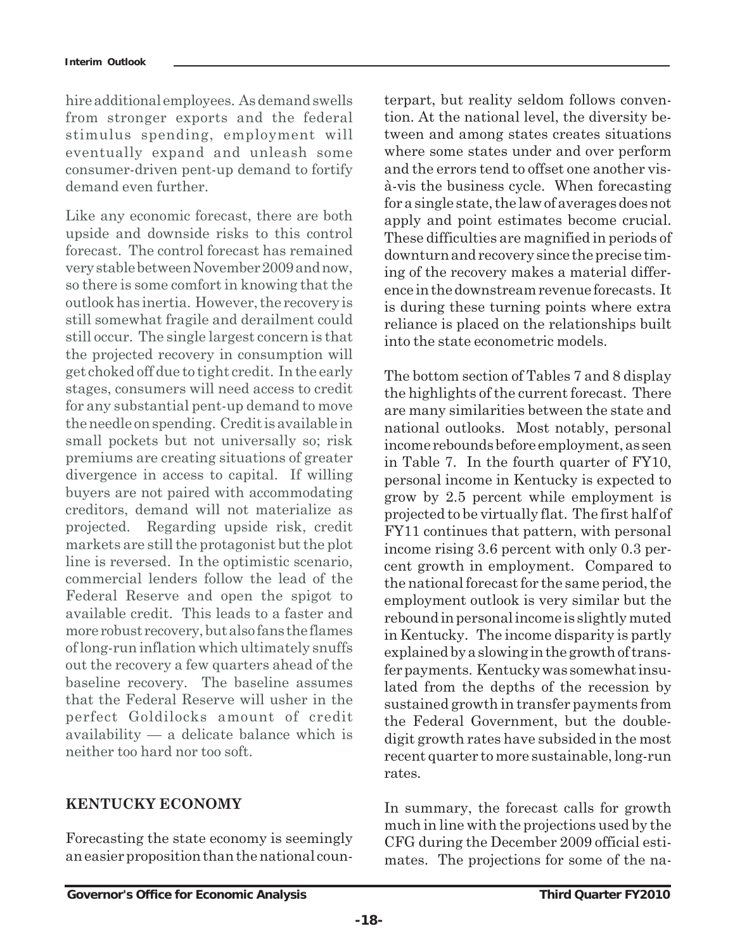hire additional employees. As demand swells from stronger exports and the federal stimulus spending, employment will eventually expand and unleash some consumer-driven pent-up demand to fortify demand even further.

Like any economic forecast, there are both upside and downside risks to this control forecast. The control forecast has remained very stable between November 2009 and now, so there is some comfort in knowing that the outlook has inertia. However, the recovery is still somewhat fragile and derailment could still occur. The single largest concern is that the projected recovery in consumption will get choked off due to tight credit. In the early stages, consumers will need access to credit for any substantial pent-up demand to move the needle on spending. Credit is available in small pockets but not universally so; risk premiums are creating situations of greater divergence in access to capital. If willing buyers are not paired with accommodating creditors, demand will not materialize as projected. Regarding upside risk, credit markets are still the protagonist but the plot line is reversed. In the optimistic scenario, commercial lenders follow the lead of the Federal Reserve and open the spigot to available credit. This leads to a faster and more robust recovery, but also fans the flames of long-run inflation which ultimately snuffs out the recovery a few quarters ahead of the baseline recovery. The baseline assumes that the Federal Reserve will usher in the perfect Goldilocks amount of credit availability — a delicate balance which is neither too hard nor too soft.

### **KENTUCKY ECONOMY**

Forecasting the state economy is seemingly an easier proposition than the national coun-

terpart, but reality seldom follows convention. At the national level, the diversity between and among states creates situations where some states under and over perform and the errors tend to offset one another visà-vis the business cycle. When forecasting for a single state, the law of averages does not apply and point estimates become crucial. These difficulties are magnified in periods of downturn and recovery since the precise timing of the recovery makes a material difference in the downstream revenue forecasts. It is during these turning points where extra reliance is placed on the relationships built into the state econometric models.

The bottom section of Tables 7 and 8 display the highlights of the current forecast. There are many similarities between the state and national outlooks. Most notably, personal income rebounds before employment, as seen in Table 7. In the fourth quarter of FY10, personal income in Kentucky is expected to grow by 2.5 percent while employment is projected to be virtually flat. The first half of FY11 continues that pattern, with personal income rising 3.6 percent with only 0.3 percent growth in employment. Compared to the national forecast for the same period, the employment outlook is very similar but the rebound in personal income is slightly muted in Kentucky. The income disparity is partly explained by a slowing in the growth of transfer payments. Kentucky was somewhat insulated from the depths of the recession by sustained growth in transfer payments from the Federal Government, but the doubledigit growth rates have subsided in the most recent quarter to more sustainable, long-run rates.

In summary, the forecast calls for growth much in line with the projections used by the CFG during the December 2009 official estimates. The projections for some of the na-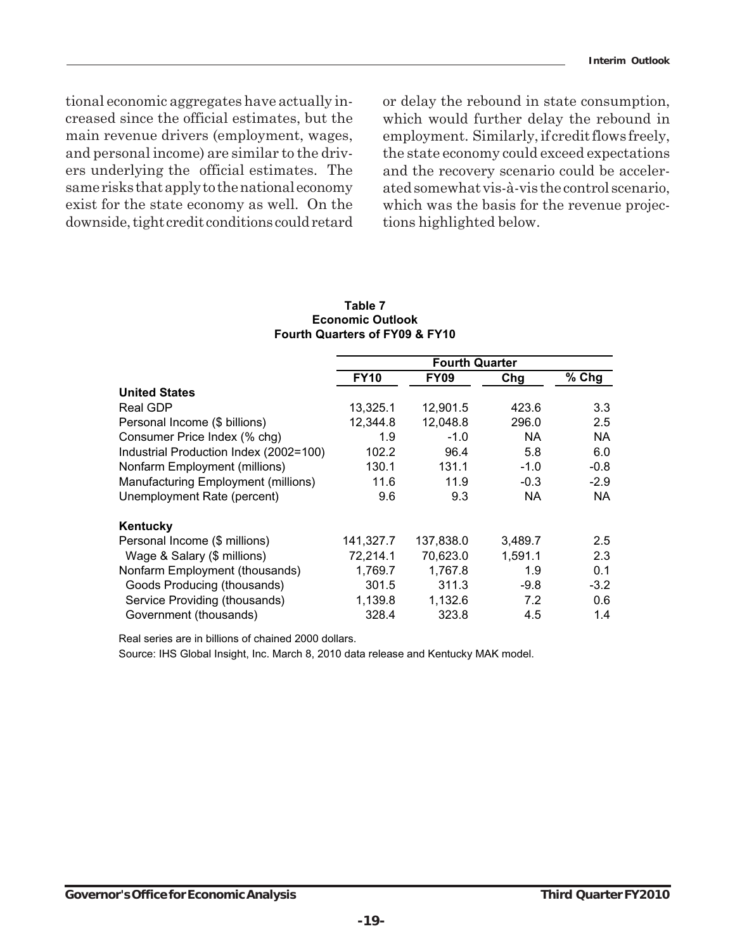main revenue drivers (employment, wages, employment. Similarly, if credit flows freely tional economic aggregates have actually increased since the official estimates, but the and personal income) are similar to the drivers underlying the official estimates. The same risks that apply to the national economy exist for the state economy as well. On the downside, tight credit conditions could retard

or delay the rebound in state consumption, which would further delay the rebound in employment. Similarly, if credit flows freely, the state economy could exceed expectations and the recovery scenario could be accelerated somewhat vis-à-vis the control scenario, which was the basis for the revenue projections highlighted below.

|                                        |             | <b>Fourth Quarter</b> |           |               |  |  |
|----------------------------------------|-------------|-----------------------|-----------|---------------|--|--|
|                                        | <b>FY10</b> | <b>FY09</b>           | Chg       | $%$ Chg       |  |  |
| <b>United States</b>                   |             |                       |           |               |  |  |
| Real GDP                               | 13,325.1    | 12,901.5              | 423.6     | 3.3           |  |  |
| Personal Income (\$ billions)          | 12,344.8    | 12,048.8              | 296.0     | 2.5           |  |  |
| Consumer Price Index (% chg)           | 1.9         | $-1.0$                | NA.       | NA.           |  |  |
| Industrial Production Index (2002=100) | 102.2       | 96.4                  | 5.8       | 6.0           |  |  |
| Nonfarm Employment (millions)          | 130.1       | 131.1                 | $-1.0$    | $-0.8$        |  |  |
| Manufacturing Employment (millions)    | 11.6        | 11.9                  | $-0.3$    | $-2.9$        |  |  |
| Unemployment Rate (percent)            | 9.6         | 9.3                   | <b>NA</b> | NA            |  |  |
| Kentucky                               |             |                       |           |               |  |  |
| Personal Income (\$ millions)          | 141,327.7   | 137,838.0             | 3,489.7   | $2.5^{\circ}$ |  |  |
| Wage & Salary (\$ millions)            | 72,214.1    | 70,623.0              | 1,591.1   | 2.3           |  |  |
| Nonfarm Employment (thousands)         | 1,769.7     | 1,767.8               | 1.9       | 0.1           |  |  |
| Goods Producing (thousands)            | 301.5       | 311.3                 | $-9.8$    | $-3.2$        |  |  |
| Service Providing (thousands)          | 1,139.8     | 1,132.6               | 7.2       | 0.6           |  |  |
| Government (thousands)                 | 328.4       | 323.8                 | 4.5       | 1.4           |  |  |

### **Fourth Quarters of FY09 & FY10 Table 7 Economic Outlook**

Real series are in billions of chained 2000 dollars.

Source: IHS Global Insight, Inc. March 8, 2010 data release and Kentucky MAK model.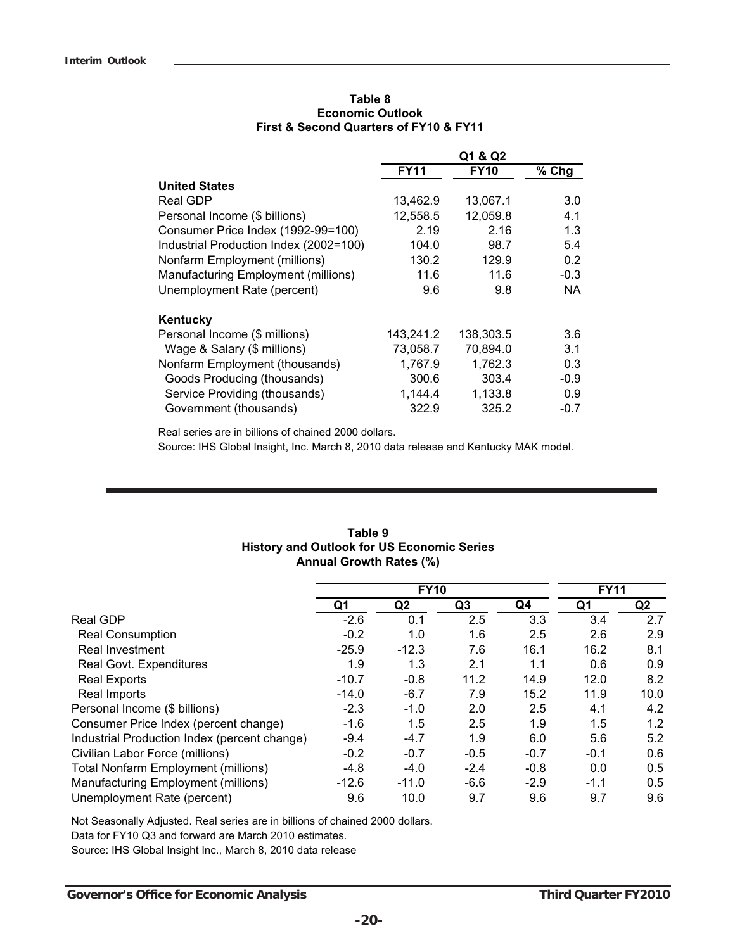|                                        |             | Q1 & Q2     |           |
|----------------------------------------|-------------|-------------|-----------|
|                                        | <b>FY11</b> | <b>FY10</b> | $%$ Chg   |
| <b>United States</b>                   |             |             |           |
| Real GDP                               | 13,462.9    | 13,067.1    | 3.0       |
| Personal Income (\$ billions)          | 12,558.5    | 12,059.8    | 4.1       |
| Consumer Price Index (1992-99=100)     | 2.19        | 2.16        | 1.3       |
| Industrial Production Index (2002=100) | 104.0       | 98.7        | 5.4       |
| Nonfarm Employment (millions)          | 130.2       | 129.9       | 0.2       |
| Manufacturing Employment (millions)    | 11.6        | 11.6        | $-0.3$    |
| Unemployment Rate (percent)            | 9.6         | 9.8         | <b>NA</b> |
| Kentucky                               |             |             |           |
| Personal Income (\$ millions)          | 143,241.2   | 138,303.5   | 3.6       |
| Wage & Salary (\$ millions)            | 73,058.7    | 70,894.0    | 3.1       |
| Nonfarm Employment (thousands)         | 1,767.9     | 1,762.3     | 0.3       |
| Goods Producing (thousands)            | 300.6       | 303.4       | $-0.9$    |
| Service Providing (thousands)          | 1,144.4     | 1,133.8     | 0.9       |
| Government (thousands)                 | 322.9       | 325.2       | $-0.7$    |

### **First & Second Quarters of FY10 & FY11 Table 8 Economic Outlook**

Real series are in billions of chained 2000 dollars.

Source: IHS Global Insight, Inc. March 8, 2010 data release and Kentucky MAK model.

|                                              |         | <b>FY10</b> |                | <b>FY11</b> |        |      |
|----------------------------------------------|---------|-------------|----------------|-------------|--------|------|
|                                              | Q1      | Q2          | Q <sub>3</sub> | Q4          | Q1     | Q2   |
| Real GDP                                     | $-2.6$  | 0.1         | 2.5            | 3.3         | 3.4    | 2.7  |
| <b>Real Consumption</b>                      | $-0.2$  | 1.0         | 1.6            | 2.5         | 2.6    | 2.9  |
| Real Investment                              | $-25.9$ | $-12.3$     | 7.6            | 16.1        | 16.2   | 8.1  |
| Real Govt. Expenditures                      | 1.9     | 1.3         | 2.1            | 1.1         | 0.6    | 0.9  |
| <b>Real Exports</b>                          | $-10.7$ | $-0.8$      | 11.2           | 14.9        | 12.0   | 8.2  |
| Real Imports                                 | $-14.0$ | $-6.7$      | 7.9            | 15.2        | 11.9   | 10.0 |
| Personal Income (\$ billions)                | $-2.3$  | $-1.0$      | 2.0            | 2.5         | 4.1    | 4.2  |
| Consumer Price Index (percent change)        | $-1.6$  | 1.5         | 2.5            | 1.9         | 1.5    | 1.2  |
| Industrial Production Index (percent change) | $-9.4$  | $-4.7$      | 1.9            | 6.0         | 5.6    | 5.2  |
| Civilian Labor Force (millions)              | $-0.2$  | $-0.7$      | $-0.5$         | $-0.7$      | $-0.1$ | 0.6  |
| Total Nonfarm Employment (millions)          | -4.8    | $-4.0$      | $-2.4$         | $-0.8$      | 0.0    | 0.5  |
| Manufacturing Employment (millions)          | $-12.6$ | $-11.0$     | $-6.6$         | $-2.9$      | $-1.1$ | 0.5  |
| Unemployment Rate (percent)                  | 9.6     | 10.0        | 9.7            | 9.6         | 9.7    | 9.6  |

### **Annual Growth Rates (%) Table 9 History and Outlook for US Economic Series**

Not Seasonally Adjusted. Real series are in billions of chained 2000 dollars.

Data for FY10 Q3 and forward are March 2010 estimates.

Source: IHS Global Insight Inc., March 8, 2010 data release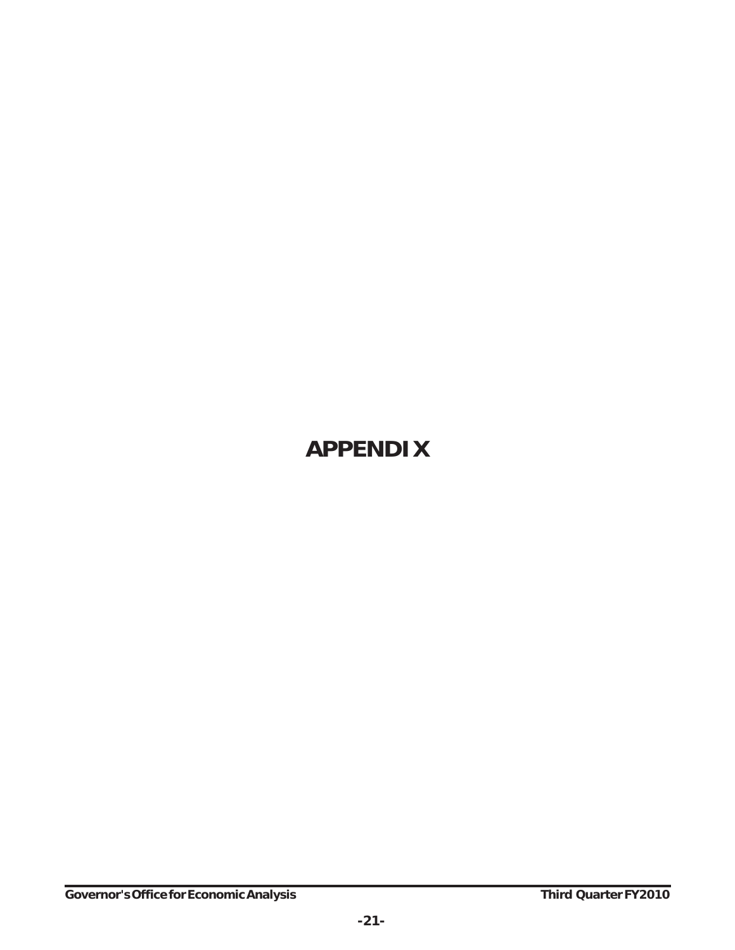# **APPENDIX**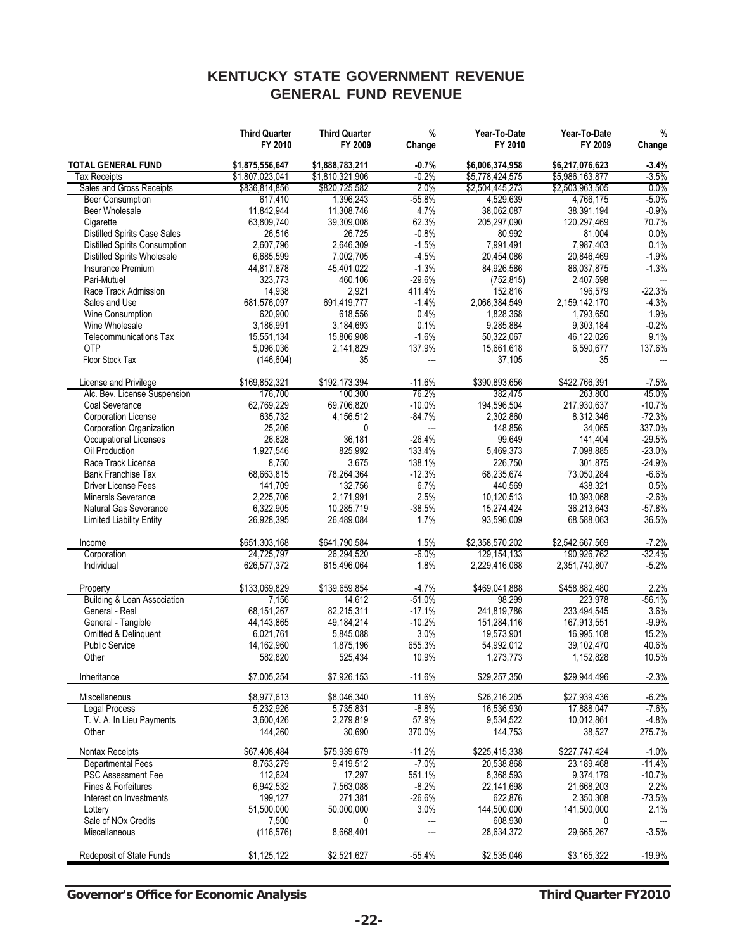### **KENTUCKY STATE GOVERNMENT REVENUE GENERAL FUND REVENUE**

|                                                  | <b>Third Quarter</b><br>FY 2010 | <b>Third Quarter</b><br>FY 2009 | $\%$<br>Change           | Year-To-Date<br>FY 2010 | Year-To-Date<br>FY 2009 | $\%$<br>Change      |
|--------------------------------------------------|---------------------------------|---------------------------------|--------------------------|-------------------------|-------------------------|---------------------|
| <b>TOTAL GENERAL FUND</b>                        | \$1,875,556,647                 | \$1,888,783,211                 | $-0.7%$                  | \$6,006,374,958         | \$6,217,076,623         | $-3.4%$             |
| <b>Tax Receipts</b>                              | \$1,807,023,041                 | \$1,810,321,906                 | $-0.2%$                  | \$5,778,424,575         | \$5,986,163,877         | $-3.5%$             |
| Sales and Gross Receipts                         | \$836,814,856                   | \$820,725,582                   | 2.0%                     | \$2,504,445,273         | \$2,503,963,505         | $0.0\%$             |
| <b>Beer Consumption</b>                          | 617,410                         | 1,396,243                       | $-55.8%$                 | 4,529,639               | 4,766,175               | $-5.0%$             |
| Beer Wholesale                                   | 11,842,944                      | 11,308,746                      | 4.7%                     | 38,062,087              | 38,391,194              | $-0.9%$             |
| Cigarette                                        | 63,809,740                      | 39,309,008                      | 62.3%                    | 205,297,090             | 120,297,469             | 70.7%               |
| <b>Distilled Spirits Case Sales</b>              | 26,516                          | 26,725                          | $-0.8%$                  | 80,992                  | 81,004                  | 0.0%                |
| <b>Distilled Spirits Consumption</b>             | 2,607,796                       | 2,646,309                       | $-1.5%$                  | 7,991,491               | 7,987,403               | 0.1%                |
| <b>Distilled Spirits Wholesale</b>               | 6,685,599                       | 7,002,705                       | $-4.5%$                  | 20,454,086              | 20,846,469              | $-1.9%$             |
| Insurance Premium                                | 44,817,878                      | 45,401,022                      | $-1.3%$                  | 84,926,586              | 86,037,875              | $-1.3%$             |
| Pari-Mutuel                                      | 323,773                         | 460,106                         | $-29.6%$                 | (752, 815)              | 2,407,598               |                     |
| Race Track Admission                             | 14,938                          | 2,921                           | 411.4%                   | 152,816                 | 196,579                 | $-22.3%$            |
| Sales and Use                                    | 681,576,097                     | 691,419,777                     | $-1.4%$                  | 2,066,384,549           | 2,159,142,170           | $-4.3%$             |
| Wine Consumption                                 | 620,900                         | 618,556                         | 0.4%                     | 1,828,368               | 1,793,650               | 1.9%                |
| Wine Wholesale                                   | 3,186,991                       | 3,184,693                       | 0.1%                     | 9,285,884               | 9,303,184               | $-0.2%$             |
| <b>Telecommunications Tax</b>                    | 15,551,134                      | 15,806,908                      | $-1.6%$                  | 50,322,067              | 46,122,026              | 9.1%                |
| <b>OTP</b>                                       | 5,096,036                       | 2,141,829                       | 137.9%                   | 15,661,618              | 6,590,677               | 137.6%              |
| Floor Stock Tax                                  | (146, 604)                      | 35                              | ---                      | 37,105                  | 35                      |                     |
| License and Privilege                            | \$169,852,321                   | \$192,173,394                   | $-11.6%$                 | \$390.893.656           | \$422,766,391           | $-7.5%$             |
| Alc. Bev. License Suspension                     | 176,700                         | 100,300                         | 76.2%                    | 382,475                 | 263.800                 | 45.0%               |
| Coal Severance                                   | 62,769,229                      | 69,706,820                      | $-10.0%$                 | 194,596,504             | 217,930,637             | $-10.7%$            |
| <b>Corporation License</b>                       | 635,732                         | 4,156,512                       | $-84.7%$                 | 2,302,860               | 8,312,346               | $-72.3%$            |
| Corporation Organization                         | 25,206                          | 0                               | $\overline{\phantom{a}}$ | 148,856                 | 34,065                  | 337.0%              |
| Occupational Licenses                            | 26,628                          | 36,181                          | $-26.4%$                 | 99,649                  | 141,404                 | $-29.5%$            |
| Oil Production                                   | 1,927,546                       | 825,992                         | 133.4%                   | 5,469,373               | 7,098,885               | $-23.0%$            |
| Race Track License                               | 8,750                           | 3,675                           | 138.1%                   | 226,750                 | 301,875                 | $-24.9%$            |
| <b>Bank Franchise Tax</b>                        | 68,663,815                      | 78,264,364                      | $-12.3%$                 | 68,235,674              | 73,050,284              | $-6.6%$             |
| <b>Driver License Fees</b>                       | 141,709                         | 132,756                         | 6.7%                     | 440,569                 | 438,321                 | 0.5%                |
| <b>Minerals Severance</b>                        | 2,225,706                       | 2,171,991                       | 2.5%                     | 10,120,513              | 10,393,068              | $-2.6%$             |
| Natural Gas Severance                            | 6,322,905                       | 10,285,719                      | $-38.5%$                 | 15,274,424              | 36,213,643              | $-57.8%$            |
| <b>Limited Liability Entity</b>                  | 26,928,395                      | 26,489,084                      | 1.7%                     | 93,596,009              | 68,588,063              | 36.5%               |
| Income                                           | \$651,303,168                   | \$641,790,584                   | 1.5%                     | \$2,358,570,202         | \$2,542,667,569         | $-7.2%$             |
| Corporation                                      | 24,725,797                      | 26,294,520                      | $-6.0%$                  | 129, 154, 133           | 190,926,762             | $-32.4%$            |
| Individual                                       | 626,577,372                     | 615,496,064                     | 1.8%                     | 2,229,416,068           | 2,351,740,807           | $-5.2%$             |
| Property                                         | \$133,069,829                   | \$139,659,854                   | $-4.7%$                  | \$469,041,888           | \$458,882,480           | 2.2%                |
| <b>Building &amp; Loan Association</b>           | 7,156                           | 14,612                          | $-51.0%$                 | 98,299                  | 223.978                 | -56.1%              |
| General - Real                                   | 68, 151, 267                    | 82,215,311                      | $-17.1%$                 | 241,819,786             | 233,494,545             | 3.6%                |
| General - Tangible                               | 44, 143, 865                    | 49,184,214                      | $-10.2%$                 | 151,284,116             | 167,913,551             | $-9.9%$             |
| Omitted & Delinquent                             | 6,021,761                       | 5,845,088                       | 3.0%                     | 19,573,901              | 16,995,108              | 15.2%               |
| <b>Public Service</b>                            | 14,162,960                      | 1,875,196                       | 655.3%                   | 54,992,012              | 39,102,470              | 40.6%               |
| Other                                            | 582,820                         | 525,434                         | 10.9%                    | 1,273,773               | 1,152,828               | 10.5%               |
| Inheritance                                      | \$7,005,254                     | \$7,926,153                     | $-11.6%$                 | \$29,257,350            | \$29,944,496            | $-2.3%$             |
| Miscellaneous                                    | \$8,977,613                     | \$8,046,340                     | 11.6%                    | \$26,216,205            | \$27,939,436            | $-6.2%$             |
| <b>Legal Process</b>                             | 5,232,926                       | 5,735,831                       | $-8.8%$                  | 16,536,930              | 17,888,047              | $-7.6%$             |
| T. V. A. In Lieu Payments                        | 3,600,426                       | 2,279,819                       | 57.9%                    | 9,534,522               | 10,012,861              | $-4.8%$             |
| Other                                            | 144,260                         | 30,690                          | 370.0%                   | 144,753                 | 38,527                  | 275.7%              |
| Nontax Receipts                                  | \$67,408,484<br>8,763,279       | \$75,939,679                    | $-11.2%$<br>$-7.0\%$     | \$225,415,338           | \$227,747,424           | $-1.0%$<br>$-11.4%$ |
| <b>Departmental Fees</b>                         |                                 | 9,419,512                       |                          | 20,538,868              | 23,189,468              |                     |
| <b>PSC Assessment Fee</b><br>Fines & Forfeitures | 112,624                         | 17,297                          | 551.1%<br>$-8.2%$        | 8,368,593               | 9,374,179               | $-10.7%$<br>2.2%    |
| Interest on Investments                          | 6,942,532<br>199,127            | 7,563,088                       | $-26.6%$                 | 22,141,698              | 21,668,203<br>2,350,308 | $-73.5%$            |
|                                                  |                                 | 271,381                         |                          | 622,876                 |                         |                     |
| Lottery<br>Sale of NO <sub>x</sub> Credits       | 51,500,000<br>7,500             | 50,000,000<br>0                 | 3.0%<br>---              | 144,500,000<br>608,930  | 141,500,000<br>0        | 2.1%                |
| Miscellaneous                                    | (116, 576)                      | 8,668,401                       | ---                      | 28,634,372              | 29,665,267              | $-3.5%$             |
| Redeposit of State Funds                         | \$1,125,122                     | \$2,521,627                     | $-55.4%$                 | \$2,535,046             | \$3,165,322             | $-19.9%$            |